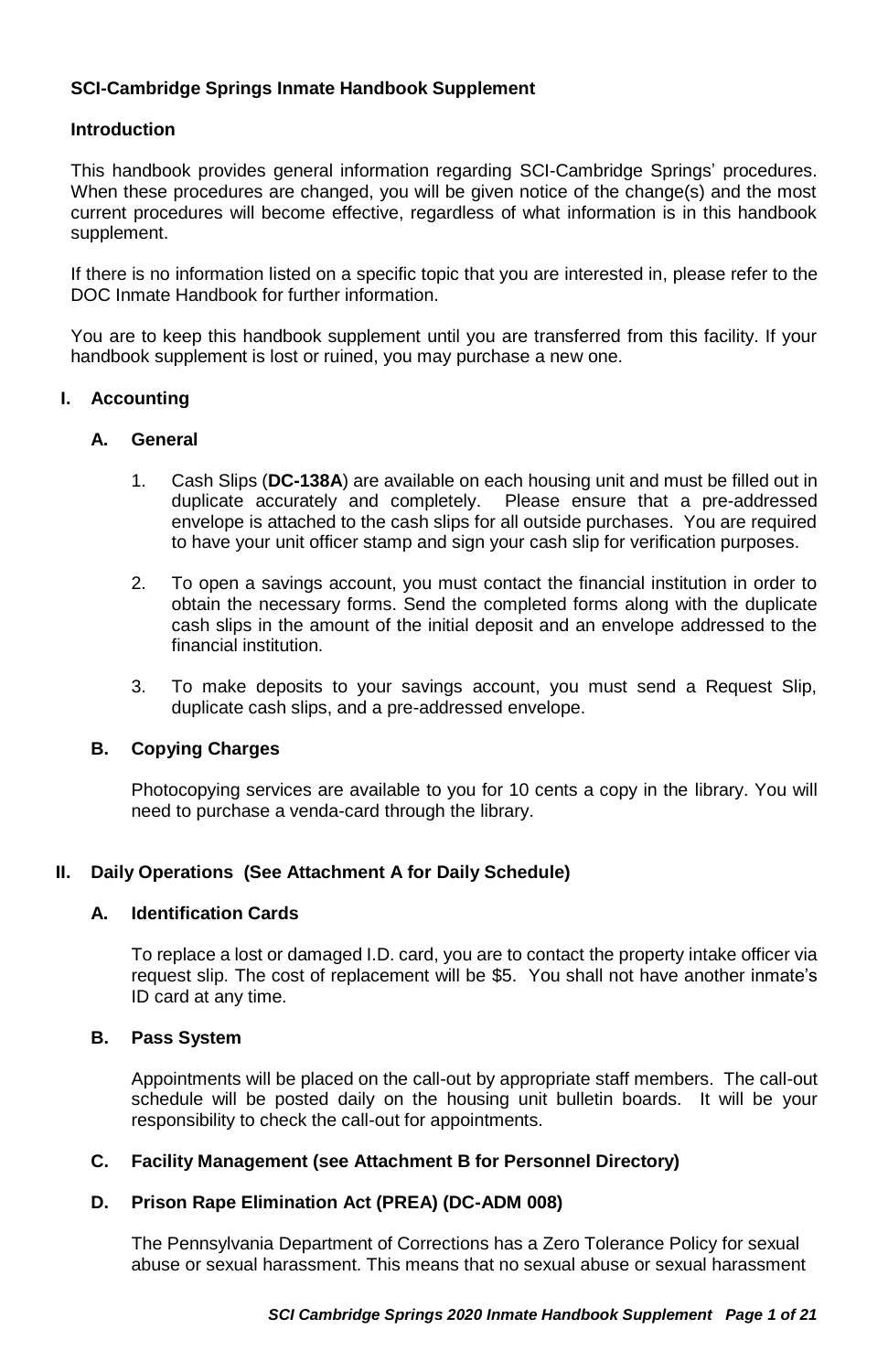## **SCI-Cambridge Springs Inmate Handbook Supplement**

## **Introduction**

This handbook provides general information regarding SCI-Cambridge Springs' procedures. When these procedures are changed, you will be given notice of the change(s) and the most current procedures will become effective, regardless of what information is in this handbook supplement.

If there is no information listed on a specific topic that you are interested in, please refer to the DOC Inmate Handbook for further information.

You are to keep this handbook supplement until you are transferred from this facility. If your handbook supplement is lost or ruined, you may purchase a new one.

### **I. Accounting**

#### **A. General**

- 1. Cash Slips (**DC-138A**) are available on each housing unit and must be filled out in duplicate accurately and completely. Please ensure that a pre-addressed envelope is attached to the cash slips for all outside purchases. You are required to have your unit officer stamp and sign your cash slip for verification purposes.
- 2. To open a savings account, you must contact the financial institution in order to obtain the necessary forms. Send the completed forms along with the duplicate cash slips in the amount of the initial deposit and an envelope addressed to the financial institution.
- 3. To make deposits to your savings account, you must send a Request Slip, duplicate cash slips, and a pre-addressed envelope.

## **B. Copying Charges**

Photocopying services are available to you for 10 cents a copy in the library. You will need to purchase a venda-card through the library.

## **II. Daily Operations (See Attachment A for Daily Schedule)**

# **A. Identification Cards**

To replace a lost or damaged I.D. card, you are to contact the property intake officer via request slip. The cost of replacement will be \$5. You shall not have another inmate's ID card at any time.

#### **B. Pass System**

Appointments will be placed on the call-out by appropriate staff members. The call-out schedule will be posted daily on the housing unit bulletin boards. It will be your responsibility to check the call-out for appointments.

## **C. Facility Management (see Attachment B for Personnel Directory)**

#### **D. Prison Rape Elimination Act (PREA) (DC-ADM 008)**

The Pennsylvania Department of Corrections has a Zero Tolerance Policy for sexual abuse or sexual harassment. This means that no sexual abuse or sexual harassment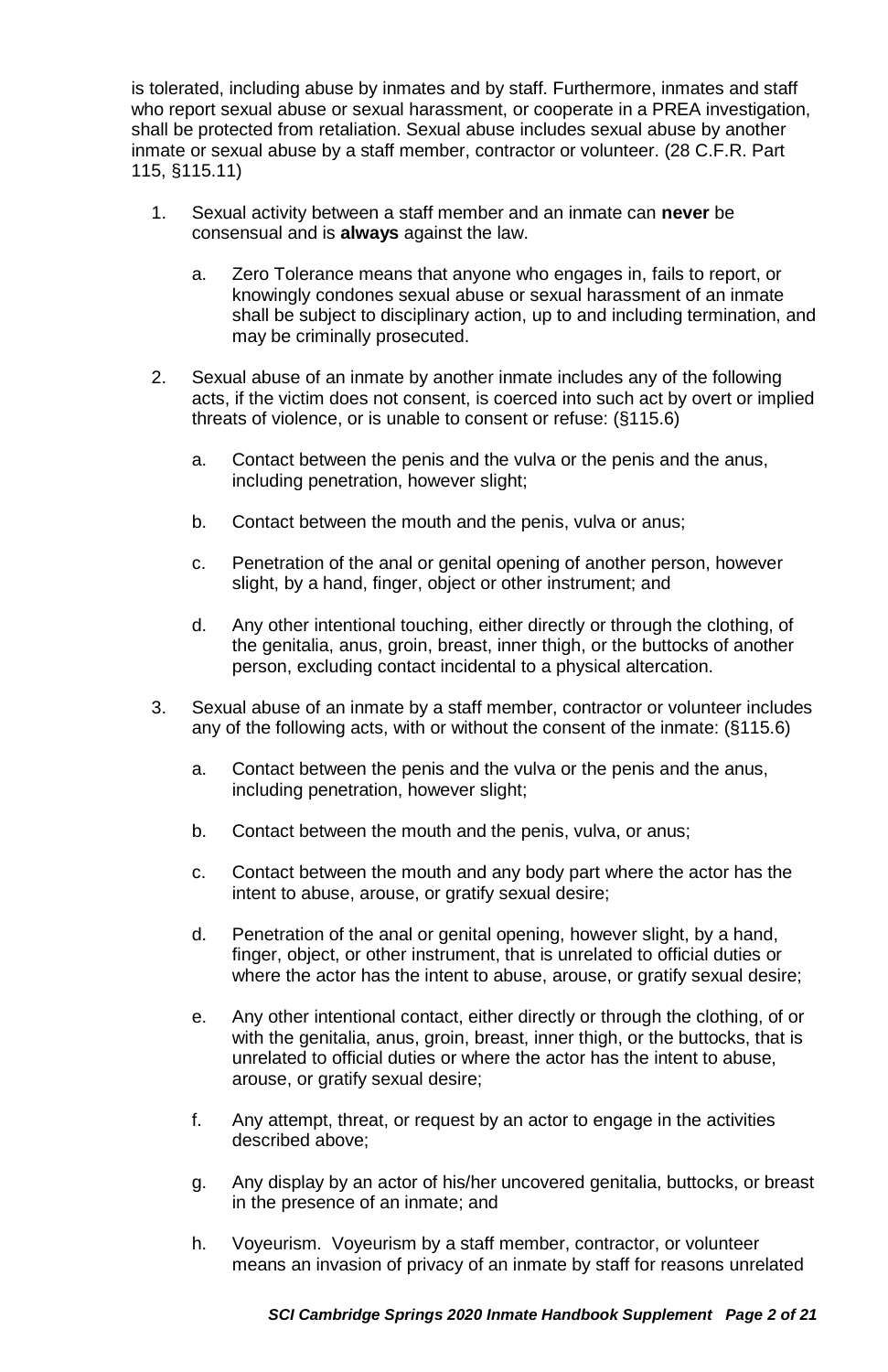is tolerated, including abuse by inmates and by staff. Furthermore, inmates and staff who report sexual abuse or sexual harassment, or cooperate in a PREA investigation, shall be protected from retaliation. Sexual abuse includes sexual abuse by another inmate or sexual abuse by a staff member, contractor or volunteer. (28 C.F.R. Part 115, §115.11)

- 1. Sexual activity between a staff member and an inmate can **never** be consensual and is **always** against the law.
	- a. Zero Tolerance means that anyone who engages in, fails to report, or knowingly condones sexual abuse or sexual harassment of an inmate shall be subject to disciplinary action, up to and including termination, and may be criminally prosecuted.
- 2. Sexual abuse of an inmate by another inmate includes any of the following acts, if the victim does not consent, is coerced into such act by overt or implied threats of violence, or is unable to consent or refuse: (§115.6)
	- a. Contact between the penis and the vulva or the penis and the anus, including penetration, however slight;
	- b. Contact between the mouth and the penis, vulva or anus;
	- c. Penetration of the anal or genital opening of another person, however slight, by a hand, finger, object or other instrument; and
	- d. Any other intentional touching, either directly or through the clothing, of the genitalia, anus, groin, breast, inner thigh, or the buttocks of another person, excluding contact incidental to a physical altercation.
- 3. Sexual abuse of an inmate by a staff member, contractor or volunteer includes any of the following acts, with or without the consent of the inmate: (§115.6)
	- a. Contact between the penis and the vulva or the penis and the anus, including penetration, however slight;
	- b. Contact between the mouth and the penis, vulva, or anus;
	- c. Contact between the mouth and any body part where the actor has the intent to abuse, arouse, or gratify sexual desire;
	- d. Penetration of the anal or genital opening, however slight, by a hand, finger, object, or other instrument, that is unrelated to official duties or where the actor has the intent to abuse, arouse, or gratify sexual desire;
	- e. Any other intentional contact, either directly or through the clothing, of or with the genitalia, anus, groin, breast, inner thigh, or the buttocks, that is unrelated to official duties or where the actor has the intent to abuse, arouse, or gratify sexual desire;
	- f. Any attempt, threat, or request by an actor to engage in the activities described above;
	- g. Any display by an actor of his/her uncovered genitalia, buttocks, or breast in the presence of an inmate; and
	- h. Voyeurism. Voyeurism by a staff member, contractor, or volunteer means an invasion of privacy of an inmate by staff for reasons unrelated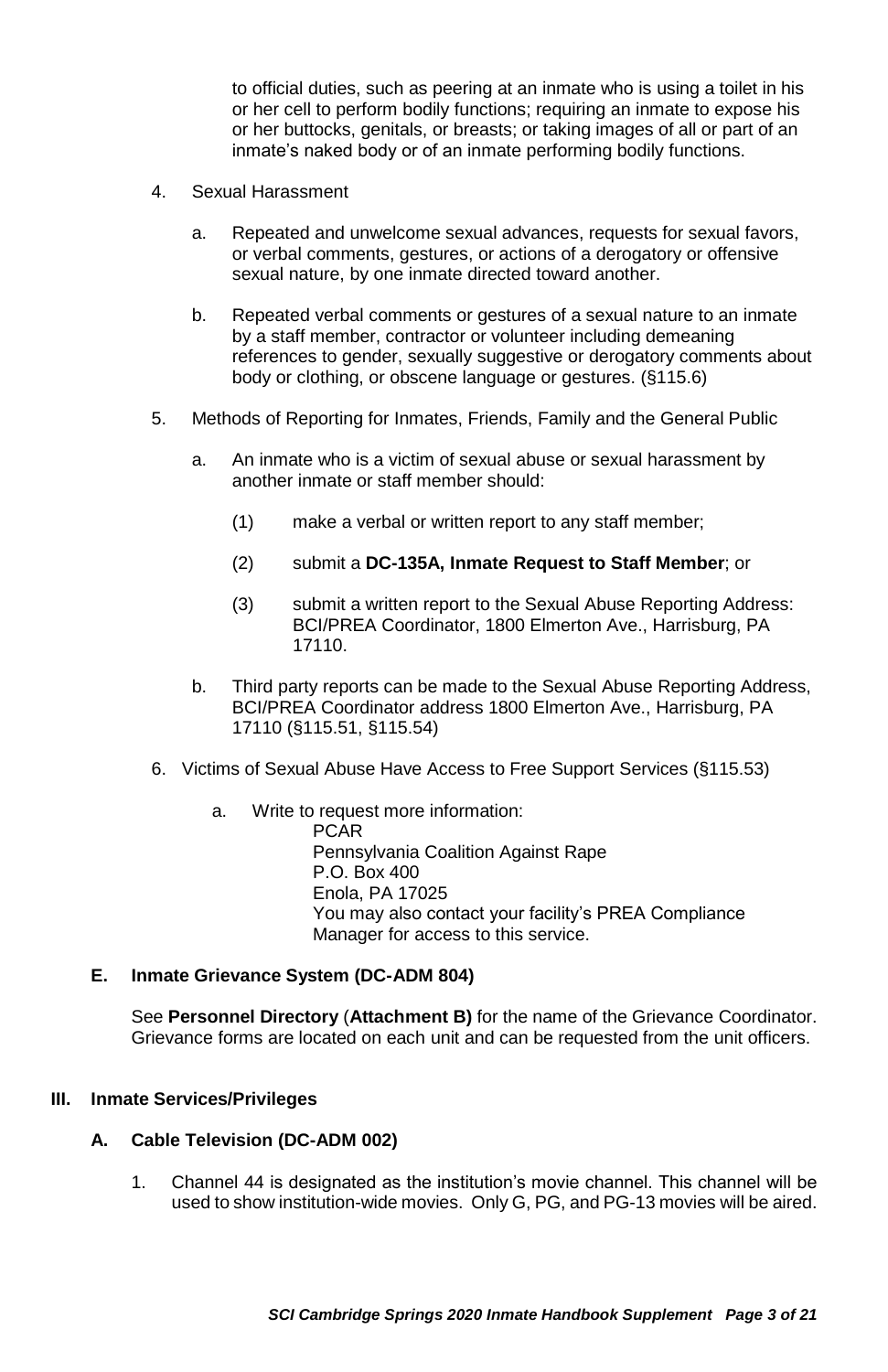to official duties, such as peering at an inmate who is using a toilet in his or her cell to perform bodily functions; requiring an inmate to expose his or her buttocks, genitals, or breasts; or taking images of all or part of an inmate's naked body or of an inmate performing bodily functions.

- 4. Sexual Harassment
	- a. Repeated and unwelcome sexual advances, requests for sexual favors, or verbal comments, gestures, or actions of a derogatory or offensive sexual nature, by one inmate directed toward another.
	- b. Repeated verbal comments or gestures of a sexual nature to an inmate by a staff member, contractor or volunteer including demeaning references to gender, sexually suggestive or derogatory comments about body or clothing, or obscene language or gestures. (§115.6)
- 5. Methods of Reporting for Inmates, Friends, Family and the General Public
	- a. An inmate who is a victim of sexual abuse or sexual harassment by another inmate or staff member should:
		- (1) make a verbal or written report to any staff member;
		- (2) submit a **DC-135A, Inmate Request to Staff Member**; or
		- (3) submit a written report to the Sexual Abuse Reporting Address: BCI/PREA Coordinator, 1800 Elmerton Ave., Harrisburg, PA 17110.
	- b. Third party reports can be made to the Sexual Abuse Reporting Address, BCI/PREA Coordinator address 1800 Elmerton Ave., Harrisburg, PA 17110 (§115.51, §115.54)
- 6. Victims of Sexual Abuse Have Access to Free Support Services (§115.53)
	- a. Write to request more information:

PCAR Pennsylvania Coalition Against Rape P.O. Box 400 Enola, PA 17025 You may also contact your facility's PREA Compliance Manager for access to this service.

#### **E. Inmate Grievance System (DC-ADM 804)**

See **Personnel Directory** (**Attachment B)** for the name of the Grievance Coordinator. Grievance forms are located on each unit and can be requested from the unit officers.

#### **III. Inmate Services/Privileges**

## **A. Cable Television (DC-ADM 002)**

1. Channel 44 is designated as the institution's movie channel. This channel will be used to show institution-wide movies. Only G, PG, and PG-13 movies will be aired.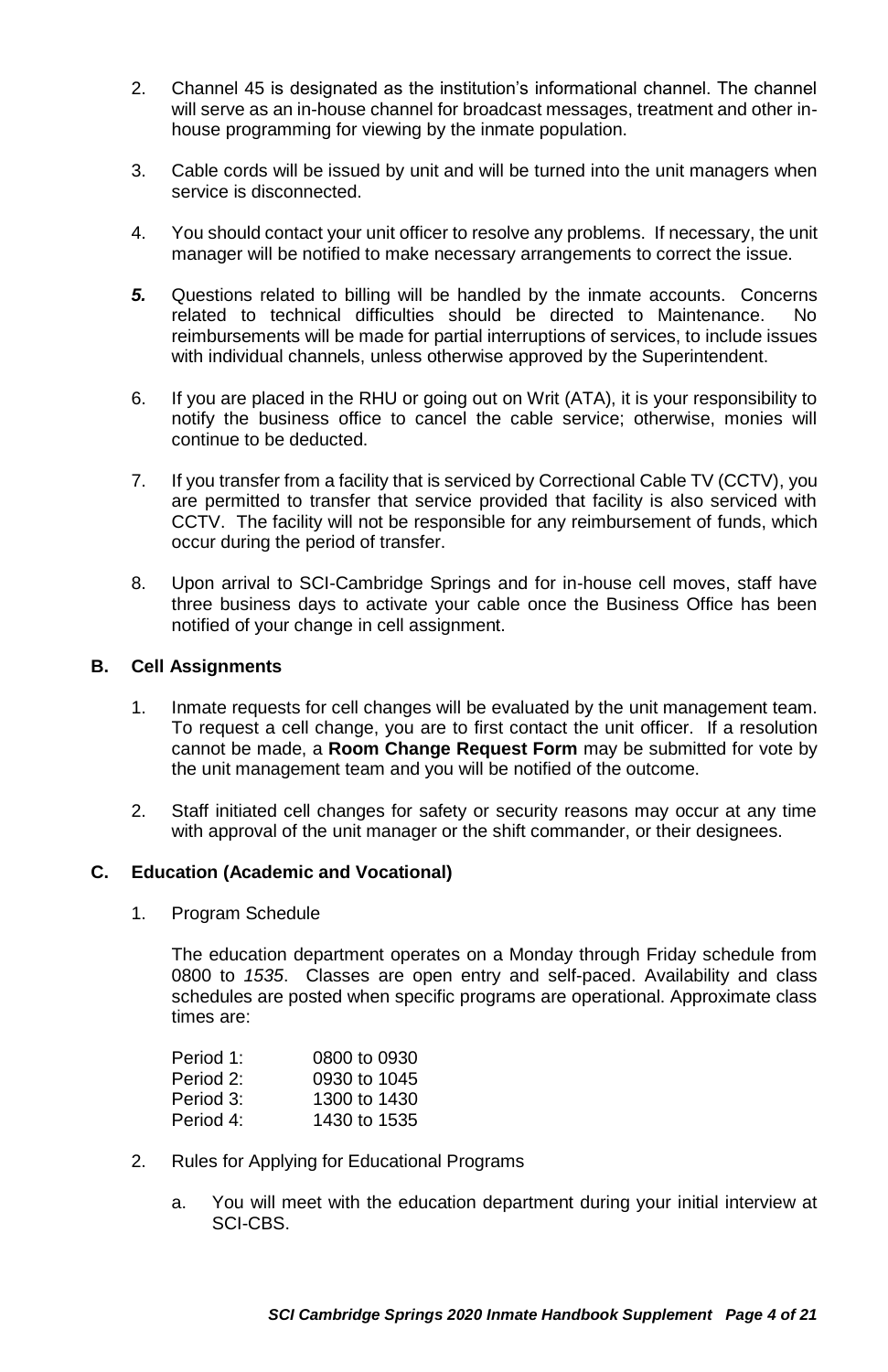- 2. Channel 45 is designated as the institution's informational channel. The channel will serve as an in-house channel for broadcast messages, treatment and other inhouse programming for viewing by the inmate population.
- 3. Cable cords will be issued by unit and will be turned into the unit managers when service is disconnected.
- 4. You should contact your unit officer to resolve any problems. If necessary, the unit manager will be notified to make necessary arrangements to correct the issue.
- *5.* Questions related to billing will be handled by the inmate accounts. Concerns related to technical difficulties should be directed to Maintenance. No reimbursements will be made for partial interruptions of services, to include issues with individual channels, unless otherwise approved by the Superintendent.
- 6. If you are placed in the RHU or going out on Writ (ATA), it is your responsibility to notify the business office to cancel the cable service; otherwise, monies will continue to be deducted.
- 7. If you transfer from a facility that is serviced by Correctional Cable TV (CCTV), you are permitted to transfer that service provided that facility is also serviced with CCTV. The facility will not be responsible for any reimbursement of funds, which occur during the period of transfer.
- 8. Upon arrival to SCI-Cambridge Springs and for in-house cell moves, staff have three business days to activate your cable once the Business Office has been notified of your change in cell assignment.

#### **B. Cell Assignments**

- 1. Inmate requests for cell changes will be evaluated by the unit management team. To request a cell change, you are to first contact the unit officer. If a resolution cannot be made, a **Room Change Request Form** may be submitted for vote by the unit management team and you will be notified of the outcome.
- 2. Staff initiated cell changes for safety or security reasons may occur at any time with approval of the unit manager or the shift commander, or their designees.

#### **C. Education (Academic and Vocational)**

1. Program Schedule

The education department operates on a Monday through Friday schedule from 0800 to *1535*.Classes are open entry and self-paced. Availability and class schedules are posted when specific programs are operational. Approximate class times are:

| Period 1: | 0800 to 0930 |
|-----------|--------------|
| Period 2: | 0930 to 1045 |
| Period 3: | 1300 to 1430 |
| Period 4: | 1430 to 1535 |

- 2. Rules for Applying for Educational Programs
	- a. You will meet with the education department during your initial interview at SCI-CBS.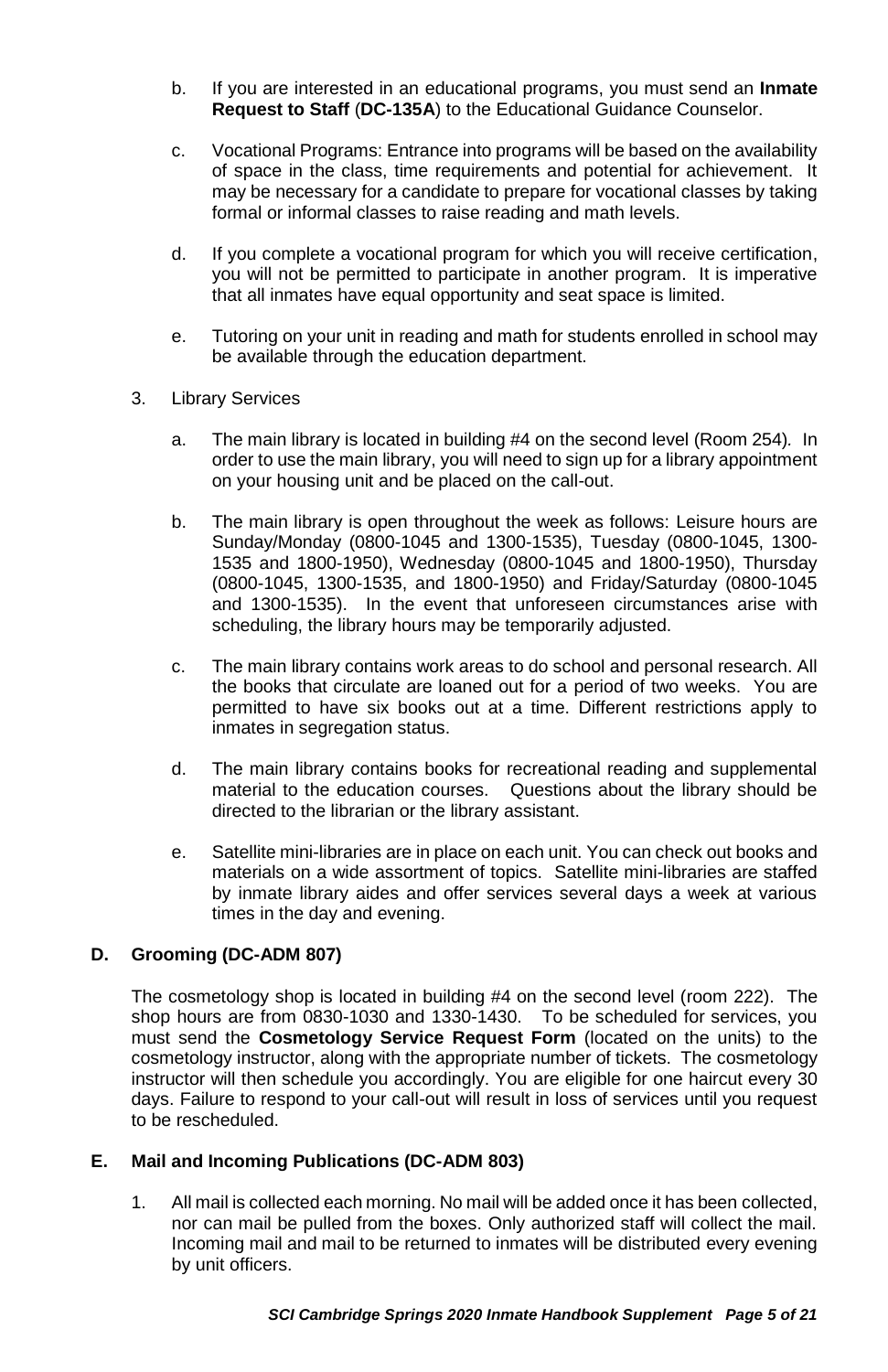- b. If you are interested in an educational programs, you must send an **Inmate Request to Staff** (**DC-135A**) to the Educational Guidance Counselor.
- c. Vocational Programs: Entrance into programs will be based on the availability of space in the class, time requirements and potential for achievement. It may be necessary for a candidate to prepare for vocational classes by taking formal or informal classes to raise reading and math levels.
- d. If you complete a vocational program for which you will receive certification, you will not be permitted to participate in another program. It is imperative that all inmates have equal opportunity and seat space is limited.
- e. Tutoring on your unit in reading and math for students enrolled in school may be available through the education department.
- 3. Library Services
	- a. The main library is located in building #4 on the second level (Room 254)*.* In order to use the main library, you will need to sign up for a library appointment on your housing unit and be placed on the call-out.
	- b. The main library is open throughout the week as follows: Leisure hours are Sunday/Monday (0800-1045 and 1300-1535), Tuesday (0800-1045, 1300- 1535 and 1800-1950), Wednesday (0800-1045 and 1800-1950), Thursday (0800-1045, 1300-1535, and 1800-1950) and Friday/Saturday (0800-1045 and 1300-1535). In the event that unforeseen circumstances arise with scheduling, the library hours may be temporarily adjusted.
	- c. The main library contains work areas to do school and personal research. All the books that circulate are loaned out for a period of two weeks. You are permitted to have six books out at a time. Different restrictions apply to inmates in segregation status.
	- d. The main library contains books for recreational reading and supplemental material to the education courses. Questions about the library should be directed to the librarian or the library assistant.
	- e. Satellite mini-libraries are in place on each unit. You can check out books and materials on a wide assortment of topics. Satellite mini-libraries are staffed by inmate library aides and offer services several days a week at various times in the day and evening.

# **D. Grooming (DC-ADM 807)**

The cosmetology shop is located in building #4 on the second level (room 222). The shop hours are from 0830-1030 and 1330-1430. To be scheduled for services, you must send the **Cosmetology Service Request Form** (located on the units) to the cosmetology instructor, along with the appropriate number of tickets. The cosmetology instructor will then schedule you accordingly. You are eligible for one haircut every 30 days. Failure to respond to your call-out will result in loss of services until you request to be rescheduled.

## **E. Mail and Incoming Publications (DC-ADM 803)**

1. All mail is collected each morning. No mail will be added once it has been collected, nor can mail be pulled from the boxes. Only authorized staff will collect the mail. Incoming mail and mail to be returned to inmates will be distributed every evening by unit officers.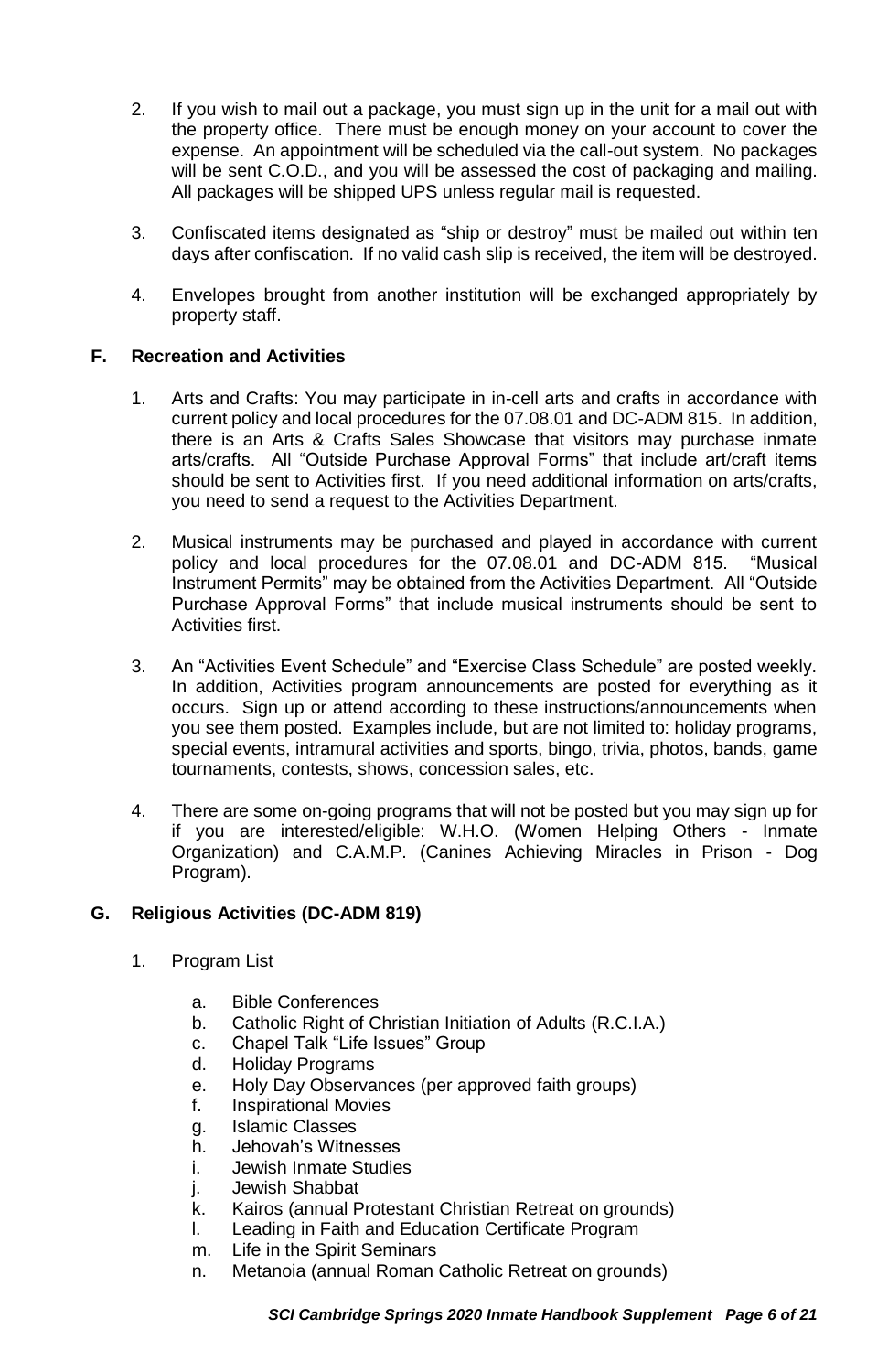- 2. If you wish to mail out a package, you must sign up in the unit for a mail out with the property office. There must be enough money on your account to cover the expense. An appointment will be scheduled via the call-out system. No packages will be sent C.O.D., and you will be assessed the cost of packaging and mailing. All packages will be shipped UPS unless regular mail is requested.
- 3. Confiscated items designated as "ship or destroy" must be mailed out within ten days after confiscation. If no valid cash slip is received, the item will be destroyed.
- 4. Envelopes brought from another institution will be exchanged appropriately by property staff.

## **F. Recreation and Activities**

- 1. Arts and Crafts: You may participate in in-cell arts and crafts in accordance with current policy and local procedures for the 07.08.01 and DC-ADM 815. In addition, there is an Arts & Crafts Sales Showcase that visitors may purchase inmate arts/crafts. All "Outside Purchase Approval Forms" that include art/craft items should be sent to Activities first. If you need additional information on arts/crafts, you need to send a request to the Activities Department.
- 2. Musical instruments may be purchased and played in accordance with current policy and local procedures for the 07.08.01 and DC-ADM 815. "Musical Instrument Permits" may be obtained from the Activities Department. All "Outside Purchase Approval Forms" that include musical instruments should be sent to Activities first.
- 3. An "Activities Event Schedule" and "Exercise Class Schedule" are posted weekly. In addition, Activities program announcements are posted for everything as it occurs. Sign up or attend according to these instructions/announcements when you see them posted. Examples include, but are not limited to: holiday programs, special events, intramural activities and sports, bingo, trivia, photos, bands, game tournaments, contests, shows, concession sales, etc.
- 4. There are some on-going programs that will not be posted but you may sign up for if you are interested/eligible: W.H.O. (Women Helping Others - Inmate Organization) and C.A.M.P. (Canines Achieving Miracles in Prison - Dog Program).

## **G. Religious Activities (DC-ADM 819)**

- 1. Program List
	- a. Bible Conferences
	- b. Catholic Right of Christian Initiation of Adults (R.C.I.A.)
	- c. Chapel Talk "Life Issues" Group
	- d. Holiday Programs
	- e. Holy Day Observances (per approved faith groups)
	- **Inspirational Movies**
	- g. Islamic Classes
	- h. Jehovah's Witnesses
	- i. Jewish Inmate Studies
	- j. Jewish Shabbat<br>k. Kairos (annual P
	- Kairos (annual Protestant Christian Retreat on grounds)
	- l. Leading in Faith and Education Certificate Program
	- m. Life in the Spirit Seminars
	- n. Metanoia (annual Roman Catholic Retreat on grounds)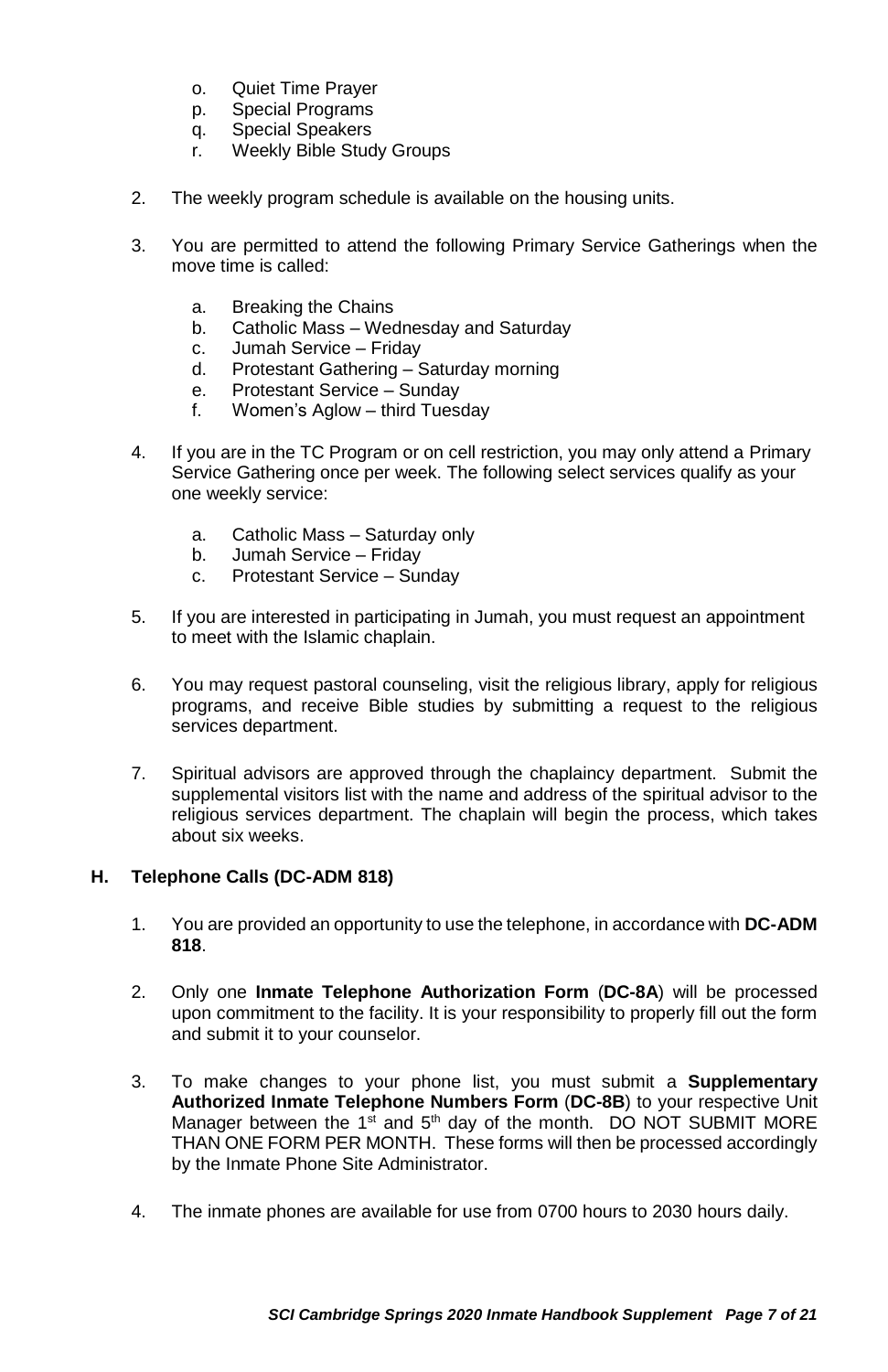- o. Quiet Time Prayer
- p. Special Programs
- q. Special Speakers
- r. Weekly Bible Study Groups
- 2. The weekly program schedule is available on the housing units.
- 3. You are permitted to attend the following Primary Service Gatherings when the move time is called:
	- a. Breaking the Chains
	- b. Catholic Mass Wednesday and Saturday
	- c. Jumah Service Friday
	- d. Protestant Gathering Saturday morning
	- e. Protestant Service Sunday
	- f. Women's Aglow third Tuesday
- 4. If you are in the TC Program or on cell restriction, you may only attend a Primary Service Gathering once per week. The following select services qualify as your one weekly service:
	- a. Catholic Mass Saturday only
	- b. Jumah Service Friday
	- c. Protestant Service Sunday
- 5. If you are interested in participating in Jumah, you must request an appointment to meet with the Islamic chaplain.
- 6. You may request pastoral counseling, visit the religious library, apply for religious programs, and receive Bible studies by submitting a request to the religious services department.
- 7. Spiritual advisors are approved through the chaplaincy department. Submit the supplemental visitors list with the name and address of the spiritual advisor to the religious services department. The chaplain will begin the process, which takes about six weeks.

## **H. Telephone Calls (DC-ADM 818)**

- 1. You are provided an opportunity to use the telephone, in accordance with **DC-ADM 818**.
- 2. Only one **Inmate Telephone Authorization Form** (**DC-8A**) will be processed upon commitment to the facility. It is your responsibility to properly fill out the form and submit it to your counselor.
- 3. To make changes to your phone list, you must submit a **Supplementary Authorized Inmate Telephone Numbers Form** (**DC-8B**) to your respective Unit Manager between the  $1<sup>st</sup>$  and  $5<sup>th</sup>$  day of the month. DO NOT SUBMIT MORE THAN ONE FORM PER MONTH. These forms will then be processed accordingly by the Inmate Phone Site Administrator.
- 4. The inmate phones are available for use from 0700 hours to 2030 hours daily.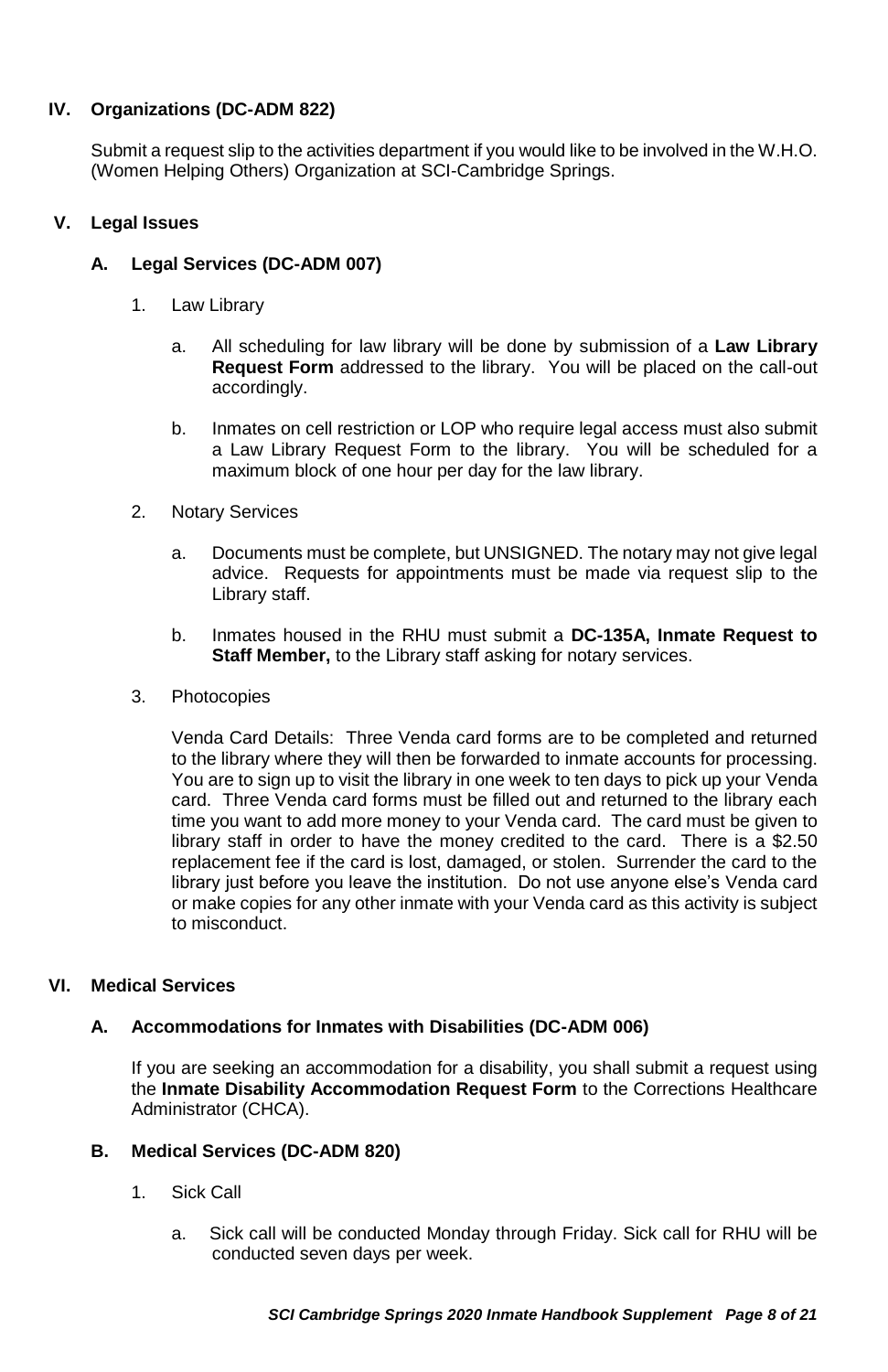## **IV. Organizations (DC-ADM 822)**

Submit a request slip to the activities department if you would like to be involved in the W.H.O. (Women Helping Others) Organization at SCI-Cambridge Springs.

## **V. Legal Issues**

## **A. Legal Services (DC-ADM 007)**

- 1. Law Library
	- a. All scheduling for law library will be done by submission of a **Law Library Request Form** addressed to the library. You will be placed on the call-out accordingly.
	- b. Inmates on cell restriction or LOP who require legal access must also submit a Law Library Request Form to the library. You will be scheduled for a maximum block of one hour per day for the law library.
- 2. Notary Services
	- a. Documents must be complete, but UNSIGNED. The notary may not give legal advice. Requests for appointments must be made via request slip to the Library staff.
	- b. Inmates housed in the RHU must submit a **DC-135A, Inmate Request to Staff Member,** to the Library staff asking for notary services.
- 3. Photocopies

Venda Card Details: Three Venda card forms are to be completed and returned to the library where they will then be forwarded to inmate accounts for processing. You are to sign up to visit the library in one week to ten days to pick up your Venda card. Three Venda card forms must be filled out and returned to the library each time you want to add more money to your Venda card. The card must be given to library staff in order to have the money credited to the card. There is a \$2.50 replacement fee if the card is lost, damaged, or stolen. Surrender the card to the library just before you leave the institution. Do not use anyone else's Venda card or make copies for any other inmate with your Venda card as this activity is subject to misconduct.

## **VI. Medical Services**

## **A. Accommodations for Inmates with Disabilities (DC-ADM 006)**

If you are seeking an accommodation for a disability, you shall submit a request using the **Inmate Disability Accommodation Request Form** to the Corrections Healthcare Administrator (CHCA).

## **B. Medical Services (DC-ADM 820)**

- 1. Sick Call
	- a.Sick call will be conducted Monday through Friday. Sick call for RHU will be conducted seven days per week.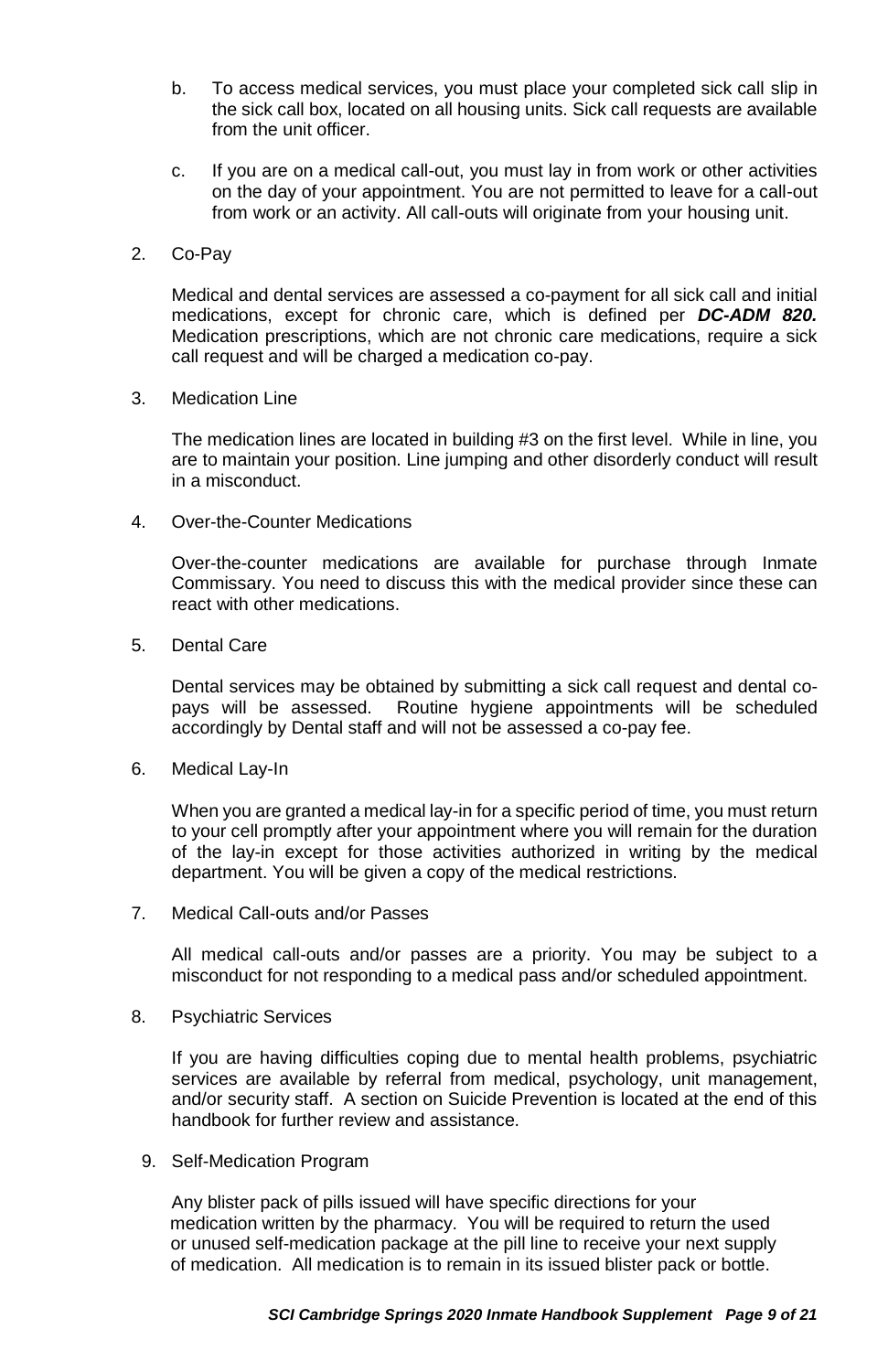- b. To access medical services, you must place your completed sick call slip in the sick call box, located on all housing units. Sick call requests are available from the unit officer.
- c. If you are on a medical call-out, you must lay in from work or other activities on the day of your appointment. You are not permitted to leave for a call-out from work or an activity. All call-outs will originate from your housing unit.

#### 2. Co-Pay

Medical and dental services are assessed a co-payment for all sick call and initial medications, except for chronic care, which is defined per *DC-ADM 820.*  Medication prescriptions, which are not chronic care medications, require a sick call request and will be charged a medication co-pay.

#### 3. Medication Line

The medication lines are located in building #3 on the first level.While in line, you are to maintain your position. Line jumping and other disorderly conduct will result in a misconduct.

4. Over-the-Counter Medications

Over-the-counter medications are available for purchase through Inmate Commissary. You need to discuss this with the medical provider since these can react with other medications.

#### 5. Dental Care

Dental services may be obtained by submitting a sick call request and dental copays will be assessed. Routine hygiene appointments will be scheduled accordingly by Dental staff and will not be assessed a co-pay fee.

6. Medical Lay-In

When you are granted a medical lay-in for a specific period of time, you must return to your cell promptly after your appointment where you will remain for the duration of the lay-in except for those activities authorized in writing by the medical department. You will be given a copy of the medical restrictions.

7. Medical Call-outs and/or Passes

All medical call-outs and/or passes are a priority. You may be subject to a misconduct for not responding to a medical pass and/or scheduled appointment.

8. Psychiatric Services

If you are having difficulties coping due to mental health problems, psychiatric services are available by referral from medical, psychology, unit management, and/or security staff. A section on Suicide Prevention is located at the end of this handbook for further review and assistance.

9. Self-Medication Program

 Any blister pack of pills issued will have specific directions for your medication written by the pharmacy. You will be required to return the used or unused self-medication package at the pill line to receive your next supply of medication. All medication is to remain in its issued blister pack or bottle.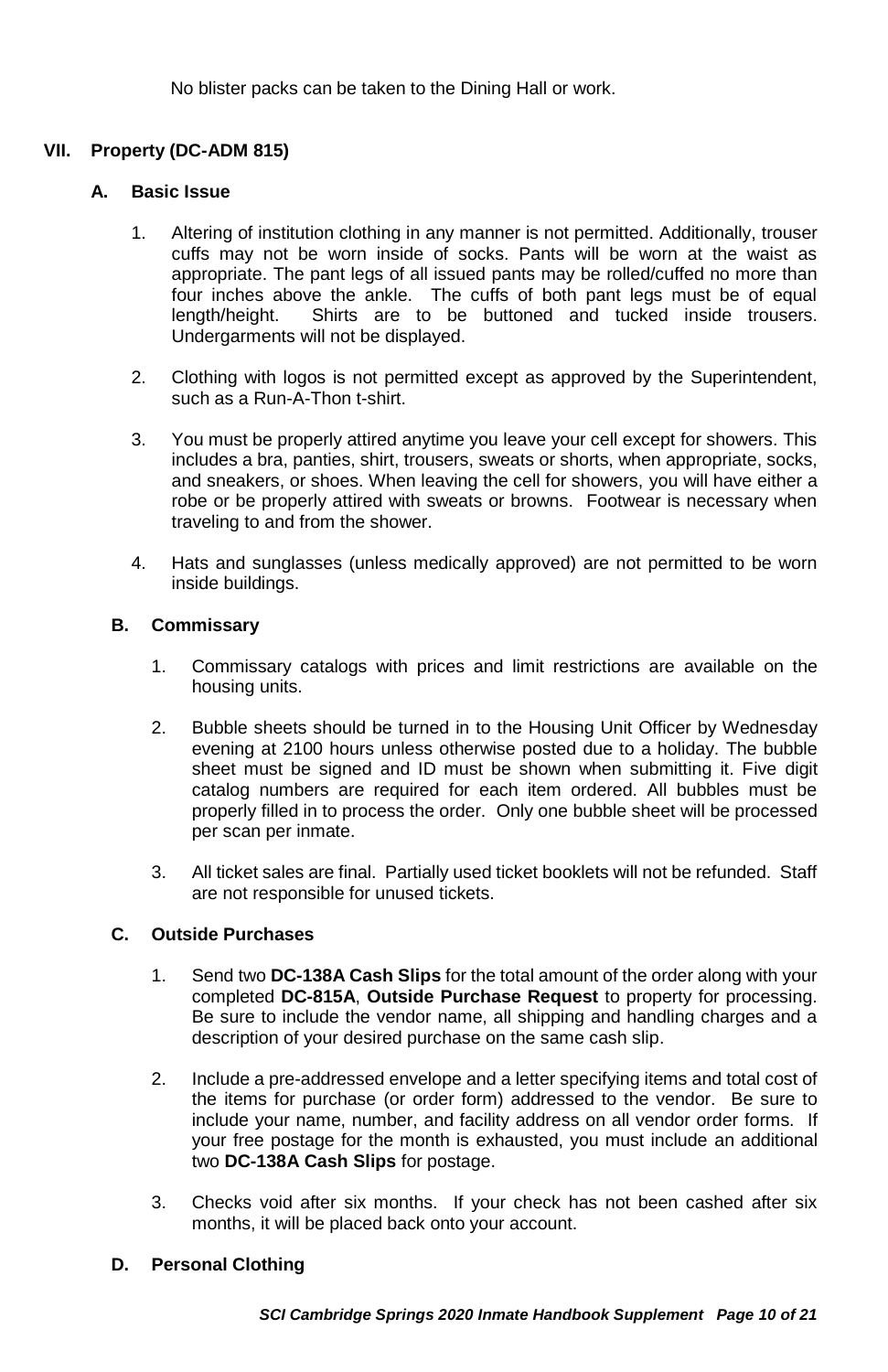No blister packs can be taken to the Dining Hall or work.

## **VII. Property (DC-ADM 815)**

## **A. Basic Issue**

- 1. Altering of institution clothing in any manner is not permitted. Additionally, trouser cuffs may not be worn inside of socks. Pants will be worn at the waist as appropriate. The pant legs of all issued pants may be rolled/cuffed no more than four inches above the ankle. The cuffs of both pant legs must be of equal length/height. Shirts are to be buttoned and tucked inside trousers. Undergarments will not be displayed.
- 2. Clothing with logos is not permitted except as approved by the Superintendent, such as a Run-A-Thon t-shirt.
- 3. You must be properly attired anytime you leave your cell except for showers. This includes a bra, panties, shirt, trousers, sweats or shorts, when appropriate, socks, and sneakers, or shoes. When leaving the cell for showers, you will have either a robe or be properly attired with sweats or browns. Footwear is necessary when traveling to and from the shower.
- 4. Hats and sunglasses (unless medically approved) are not permitted to be worn inside buildings.

## **B. Commissary**

- 1. Commissary catalogs with prices and limit restrictions are available on the housing units.
- 2. Bubble sheets should be turned in to the Housing Unit Officer by Wednesday evening at 2100 hours unless otherwise posted due to a holiday. The bubble sheet must be signed and ID must be shown when submitting it. Five digit catalog numbers are required for each item ordered. All bubbles must be properly filled in to process the order. Only one bubble sheet will be processed per scan per inmate.
- 3. All ticket sales are final. Partially used ticket booklets will not be refunded. Staff are not responsible for unused tickets.

#### **C. Outside Purchases**

- 1. Send two **DC-138A Cash Slips** for the total amount of the order along with your completed **DC-815A**, **Outside Purchase Request** to property for processing. Be sure to include the vendor name, all shipping and handling charges and a description of your desired purchase on the same cash slip.
- 2. Include a pre-addressed envelope and a letter specifying items and total cost of the items for purchase (or order form) addressed to the vendor. Be sure to include your name, number, and facility address on all vendor order forms. If your free postage for the month is exhausted, you must include an additional two **DC-138A Cash Slips** for postage.
- 3. Checks void after six months. If your check has not been cashed after six months, it will be placed back onto your account.

#### **D. Personal Clothing**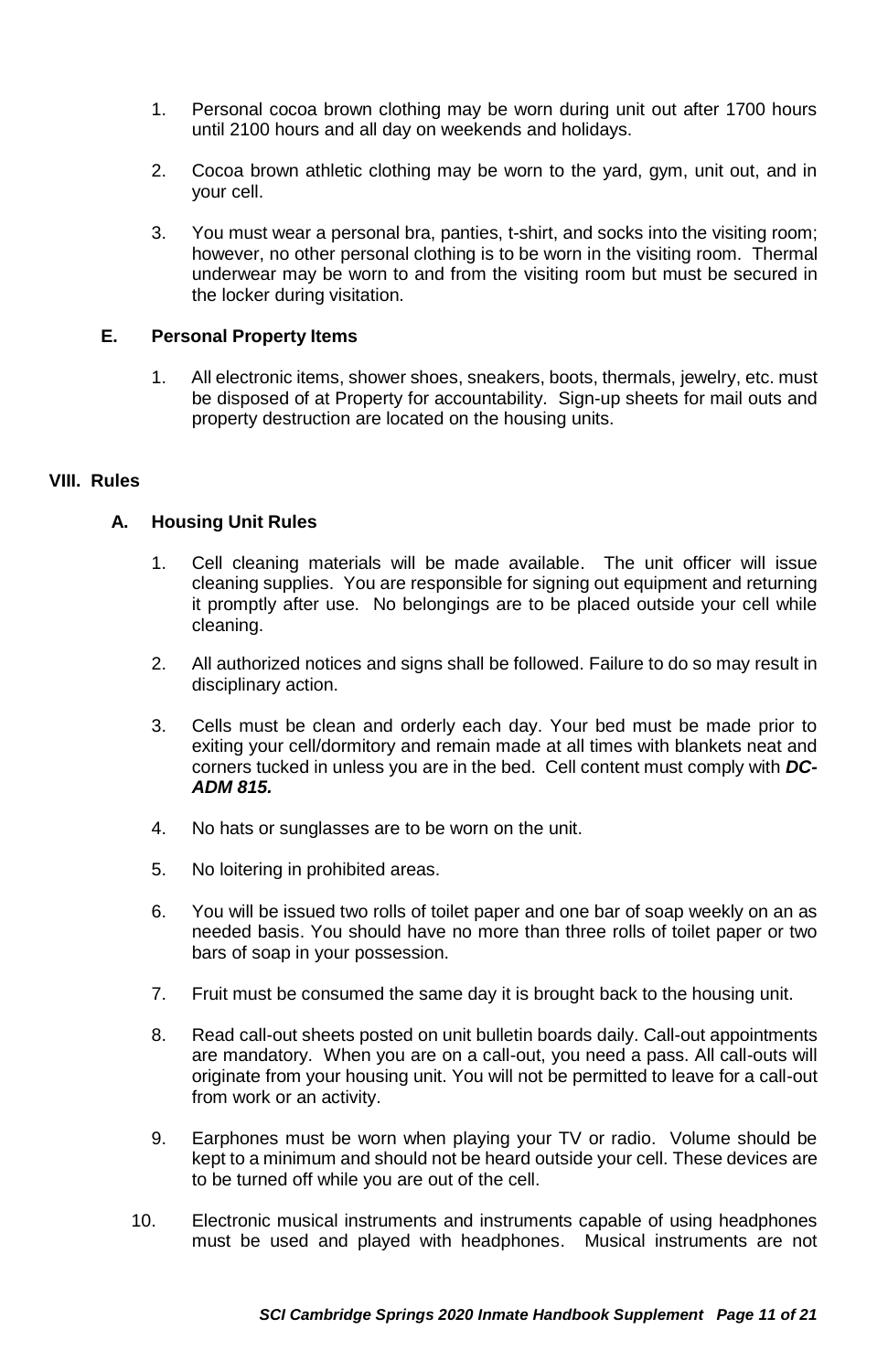- 1. Personal cocoa brown clothing may be worn during unit out after 1700 hours until 2100 hours and all day on weekends and holidays.
- 2. Cocoa brown athletic clothing may be worn to the yard, gym, unit out, and in your cell.
- 3. You must wear a personal bra, panties, t-shirt, and socks into the visiting room; however, no other personal clothing is to be worn in the visiting room. Thermal underwear may be worn to and from the visiting room but must be secured in the locker during visitation.

## **E. Personal Property Items**

1. All electronic items, shower shoes, sneakers, boots, thermals, jewelry, etc. must be disposed of at Property for accountability. Sign-up sheets for mail outs and property destruction are located on the housing units.

#### **VIII. Rules**

## **A. Housing Unit Rules**

- 1. Cell cleaning materials will be made available. The unit officer will issue cleaning supplies. You are responsible for signing out equipment and returning it promptly after use. No belongings are to be placed outside your cell while cleaning.
- 2. All authorized notices and signs shall be followed. Failure to do so may result in disciplinary action.
- 3. Cells must be clean and orderly each day. Your bed must be made prior to exiting your cell/dormitory and remain made at all times with blankets neat and corners tucked in unless you are in the bed. Cell content must comply with *DC-ADM 815.*
- 4. No hats or sunglasses are to be worn on the unit.
- 5. No loitering in prohibited areas.
- 6. You will be issued two rolls of toilet paper and one bar of soap weekly on an as needed basis. You should have no more than three rolls of toilet paper or two bars of soap in your possession.
- 7. Fruit must be consumed the same day it is brought back to the housing unit.
- 8. Read call-out sheets posted on unit bulletin boards daily. Call-out appointments are mandatory. When you are on a call-out, you need a pass. All call-outs will originate from your housing unit. You will not be permitted to leave for a call-out from work or an activity.
- 9. Earphones must be worn when playing your TV or radio. Volume should be kept to a minimum and should not be heard outside your cell. These devices are to be turned off while you are out of the cell.
- 10. Electronic musical instruments and instruments capable of using headphones must be used and played with headphones. Musical instruments are not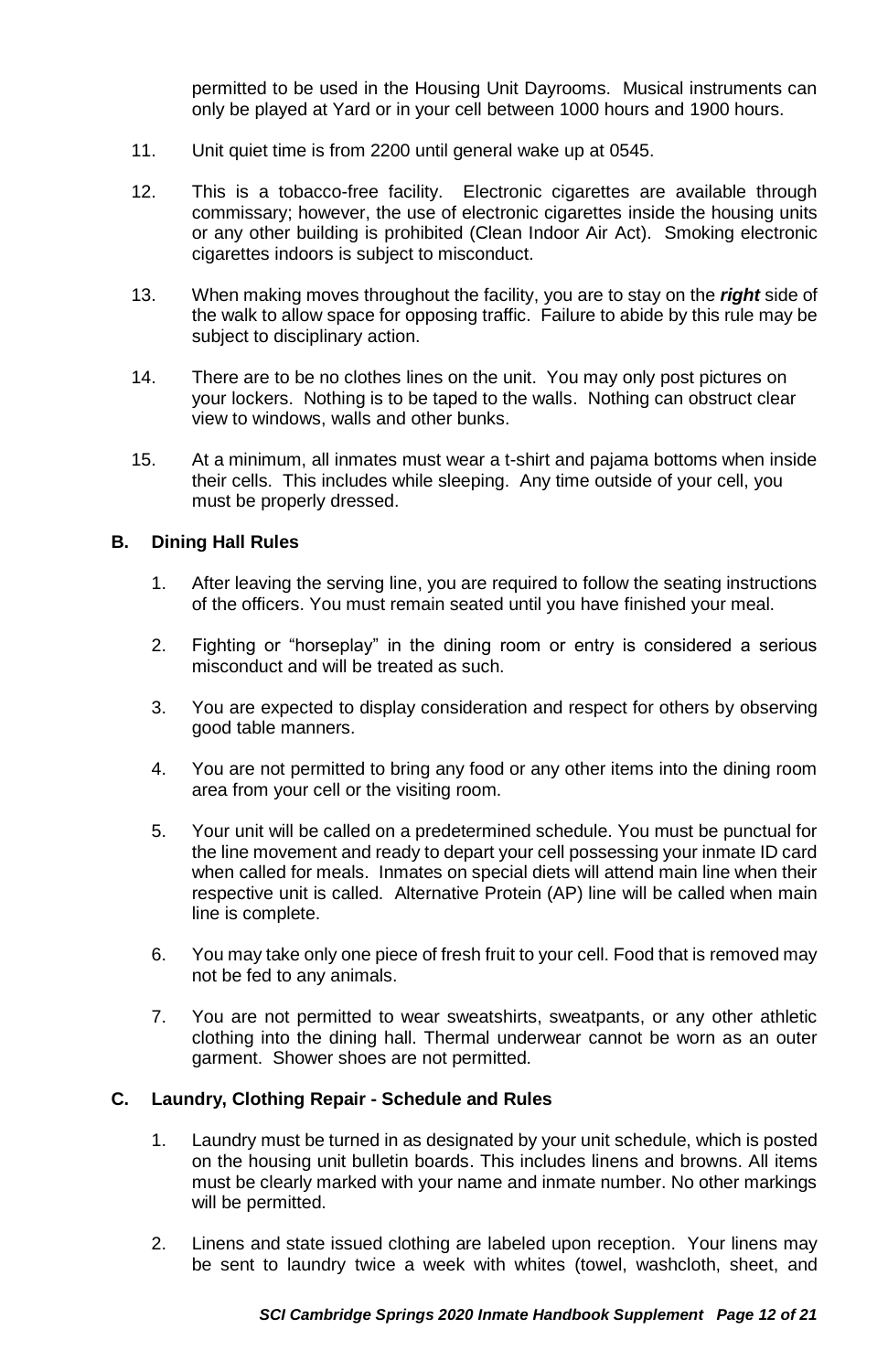permitted to be used in the Housing Unit Dayrooms. Musical instruments can only be played at Yard or in your cell between 1000 hours and 1900 hours.

- 11. Unit quiet time is from 2200 until general wake up at 0545.
- 12. This is a tobacco-free facility. Electronic cigarettes are available through commissary; however, the use of electronic cigarettes inside the housing units or any other building is prohibited (Clean Indoor Air Act). Smoking electronic cigarettes indoors is subject to misconduct.
- 13. When making moves throughout the facility, you are to stay on the *right* side of the walk to allow space for opposing traffic. Failure to abide by this rule may be subject to disciplinary action.
- 14. There are to be no clothes lines on the unit. You may only post pictures on your lockers. Nothing is to be taped to the walls. Nothing can obstruct clear view to windows, walls and other bunks.
- 15. At a minimum, all inmates must wear a t-shirt and pajama bottoms when inside their cells. This includes while sleeping. Any time outside of your cell, you must be properly dressed.

## **B. Dining Hall Rules**

- 1. After leaving the serving line, you are required to follow the seating instructions of the officers. You must remain seated until you have finished your meal.
- 2. Fighting or "horseplay" in the dining room or entry is considered a serious misconduct and will be treated as such.
- 3. You are expected to display consideration and respect for others by observing good table manners.
- 4. You are not permitted to bring any food or any other items into the dining room area from your cell or the visiting room.
- 5. Your unit will be called on a predetermined schedule. You must be punctual for the line movement and ready to depart your cell possessing your inmate ID card when called for meals. Inmates on special diets will attend main line when their respective unit is called. Alternative Protein (AP) line will be called when main line is complete.
- 6. You may take only one piece of fresh fruit to your cell. Food that is removed may not be fed to any animals.
- 7. You are not permitted to wear sweatshirts, sweatpants, or any other athletic clothing into the dining hall. Thermal underwear cannot be worn as an outer garment. Shower shoes are not permitted.

## **C. Laundry, Clothing Repair - Schedule and Rules**

- 1. Laundry must be turned in as designated by your unit schedule, which is posted on the housing unit bulletin boards. This includes linens and browns. All items must be clearly marked with your name and inmate number. No other markings will be permitted.
- 2. Linens and state issued clothing are labeled upon reception. Your linens may be sent to laundry twice a week with whites (towel, washcloth, sheet, and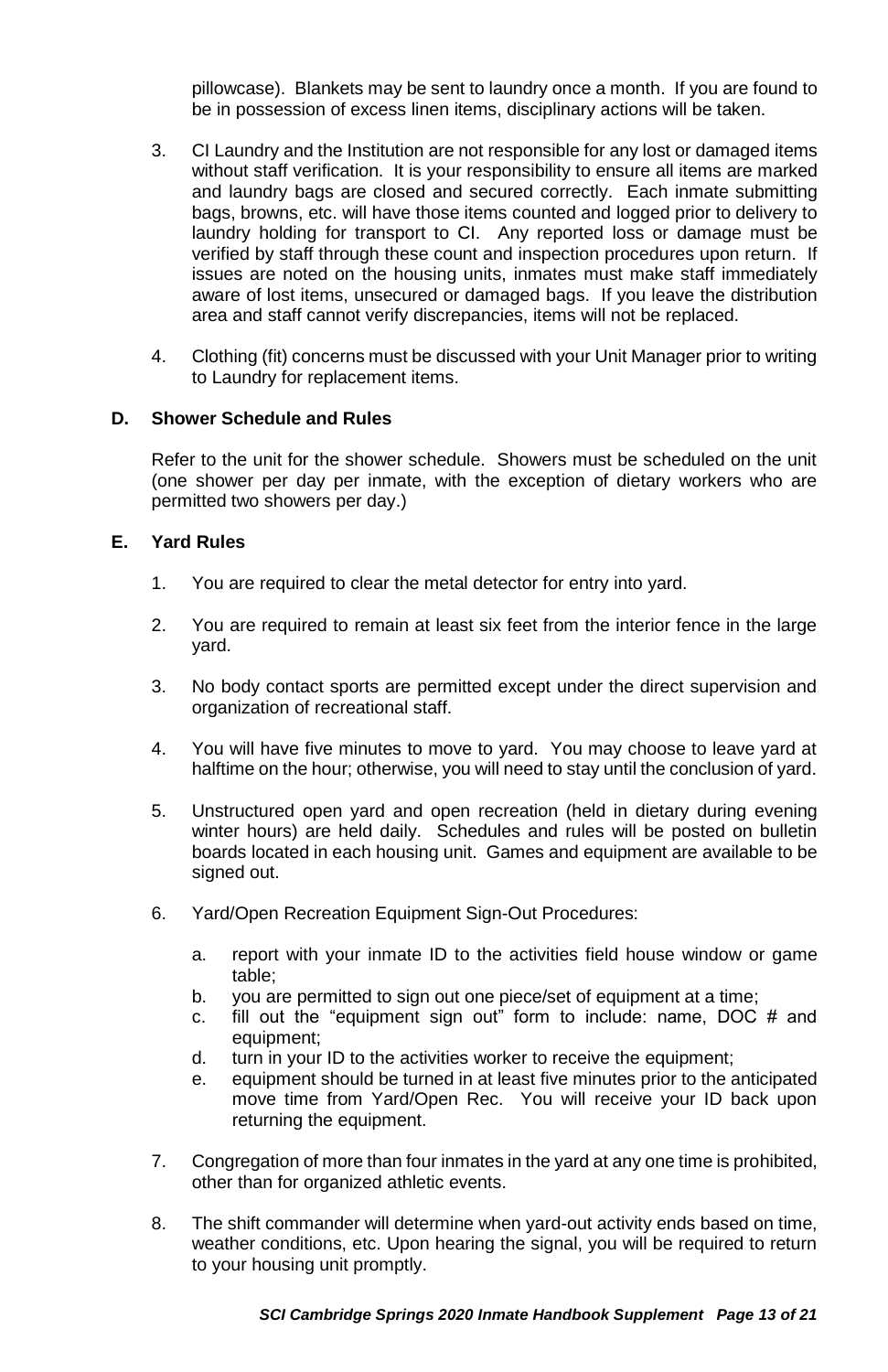pillowcase). Blankets may be sent to laundry once a month. If you are found to be in possession of excess linen items, disciplinary actions will be taken.

- 3. CI Laundry and the Institution are not responsible for any lost or damaged items without staff verification. It is your responsibility to ensure all items are marked and laundry bags are closed and secured correctly. Each inmate submitting bags, browns, etc. will have those items counted and logged prior to delivery to laundry holding for transport to CI. Any reported loss or damage must be verified by staff through these count and inspection procedures upon return. If issues are noted on the housing units, inmates must make staff immediately aware of lost items, unsecured or damaged bags. If you leave the distribution area and staff cannot verify discrepancies, items will not be replaced.
- 4. Clothing (fit) concerns must be discussed with your Unit Manager prior to writing to Laundry for replacement items.

## **D. Shower Schedule and Rules**

Refer to the unit for the shower schedule. Showers must be scheduled on the unit (one shower per day per inmate, with the exception of dietary workers who are permitted two showers per day.)

## **E. Yard Rules**

- 1. You are required to clear the metal detector for entry into yard.
- 2. You are required to remain at least six feet from the interior fence in the large yard.
- 3. No body contact sports are permitted except under the direct supervision and organization of recreational staff.
- 4. You will have five minutes to move to yard. You may choose to leave yard at halftime on the hour; otherwise, you will need to stay until the conclusion of yard.
- 5. Unstructured open yard and open recreation (held in dietary during evening winter hours) are held daily. Schedules and rules will be posted on bulletin boards located in each housing unit. Games and equipment are available to be signed out.
- 6. Yard/Open Recreation Equipment Sign-Out Procedures:
	- a. report with your inmate ID to the activities field house window or game table;
	- b. you are permitted to sign out one piece/set of equipment at a time;<br>c. fill out the "equipment sign out" form to include: name, DOC
	- fill out the "equipment sign out" form to include: name, DOC  $#$  and equipment;
	- d. turn in your ID to the activities worker to receive the equipment;
	- e. equipment should be turned in at least five minutes prior to the anticipated move time from Yard/Open Rec. You will receive your ID back upon returning the equipment.
- 7. Congregation of more than four inmates in the yard at any one time is prohibited, other than for organized athletic events.
- 8. The shift commander will determine when yard-out activity ends based on time, weather conditions, etc. Upon hearing the signal, you will be required to return to your housing unit promptly.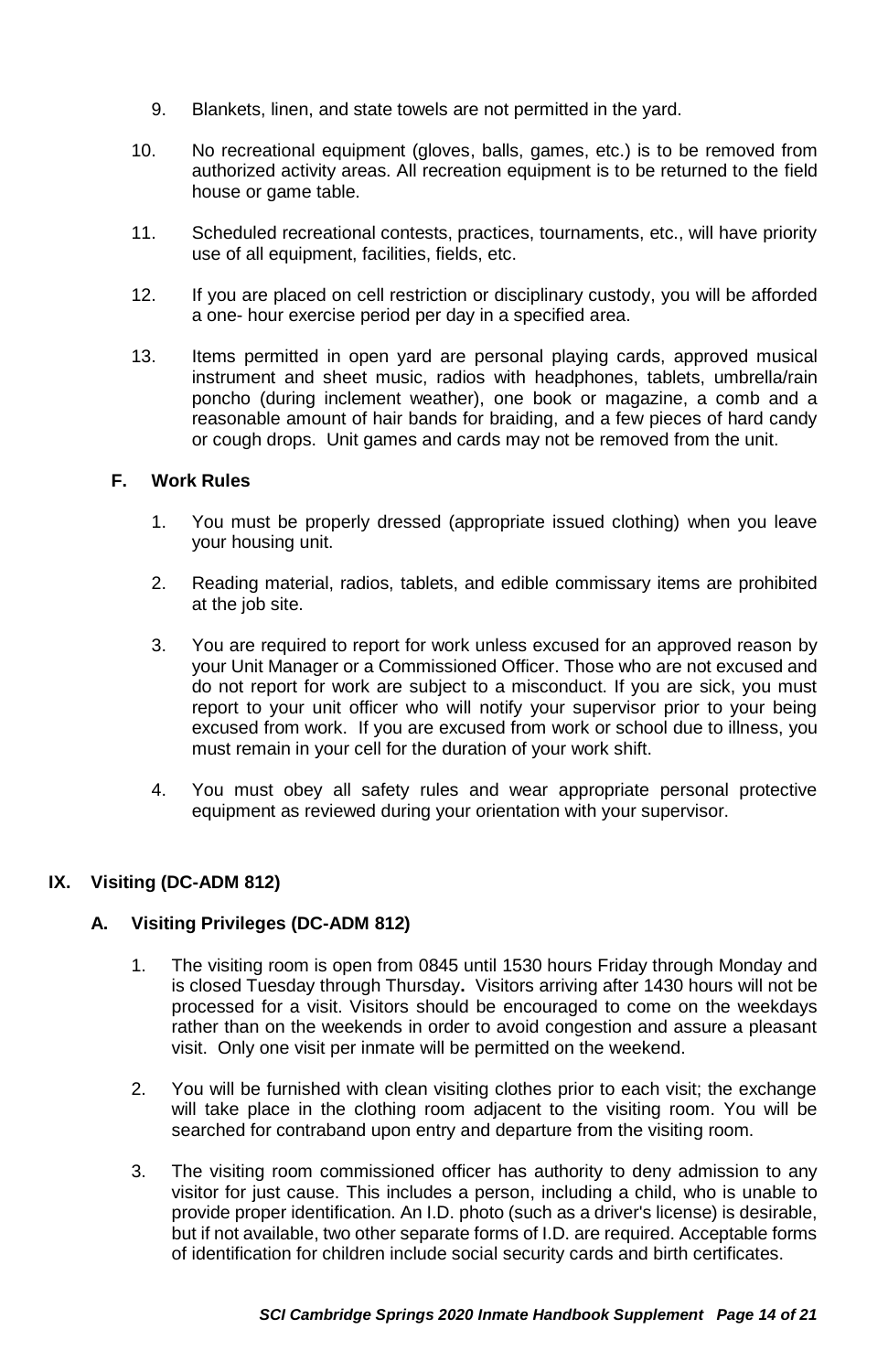- 9. Blankets, linen, and state towels are not permitted in the yard.
- 10. No recreational equipment (gloves, balls, games, etc.) is to be removed from authorized activity areas. All recreation equipment is to be returned to the field house or game table.
- 11. Scheduled recreational contests, practices, tournaments, etc., will have priority use of all equipment, facilities, fields, etc.
- 12. If you are placed on cell restriction or disciplinary custody, you will be afforded a one- hour exercise period per day in a specified area.
- 13. Items permitted in open yard are personal playing cards, approved musical instrument and sheet music, radios with headphones, tablets, umbrella/rain poncho (during inclement weather), one book or magazine, a comb and a reasonable amount of hair bands for braiding, and a few pieces of hard candy or cough drops. Unit games and cards may not be removed from the unit.

### **F. Work Rules**

- 1. You must be properly dressed (appropriate issued clothing) when you leave your housing unit.
- 2. Reading material, radios, tablets, and edible commissary items are prohibited at the job site.
- 3. You are required to report for work unless excused for an approved reason by your Unit Manager or a Commissioned Officer. Those who are not excused and do not report for work are subject to a misconduct. If you are sick, you must report to your unit officer who will notify your supervisor prior to your being excused from work. If you are excused from work or school due to illness, you must remain in your cell for the duration of your work shift.
- 4. You must obey all safety rules and wear appropriate personal protective equipment as reviewed during your orientation with your supervisor.

## **IX. Visiting (DC-ADM 812)**

#### **A. Visiting Privileges (DC-ADM 812)**

- 1. The visiting room is open from 0845 until 1530 hours Friday through Monday and is closed Tuesday through Thursday**.** Visitors arriving after 1430 hours will not be processed for a visit. Visitors should be encouraged to come on the weekdays rather than on the weekends in order to avoid congestion and assure a pleasant visit. Only one visit per inmate will be permitted on the weekend.
- 2. You will be furnished with clean visiting clothes prior to each visit; the exchange will take place in the clothing room adjacent to the visiting room. You will be searched for contraband upon entry and departure from the visiting room.
- 3. The visiting room commissioned officer has authority to deny admission to any visitor for just cause. This includes a person, including a child, who is unable to provide proper identification. An I.D. photo (such as a driver's license) is desirable, but if not available, two other separate forms of I.D. are required. Acceptable forms of identification for children include social security cards and birth certificates.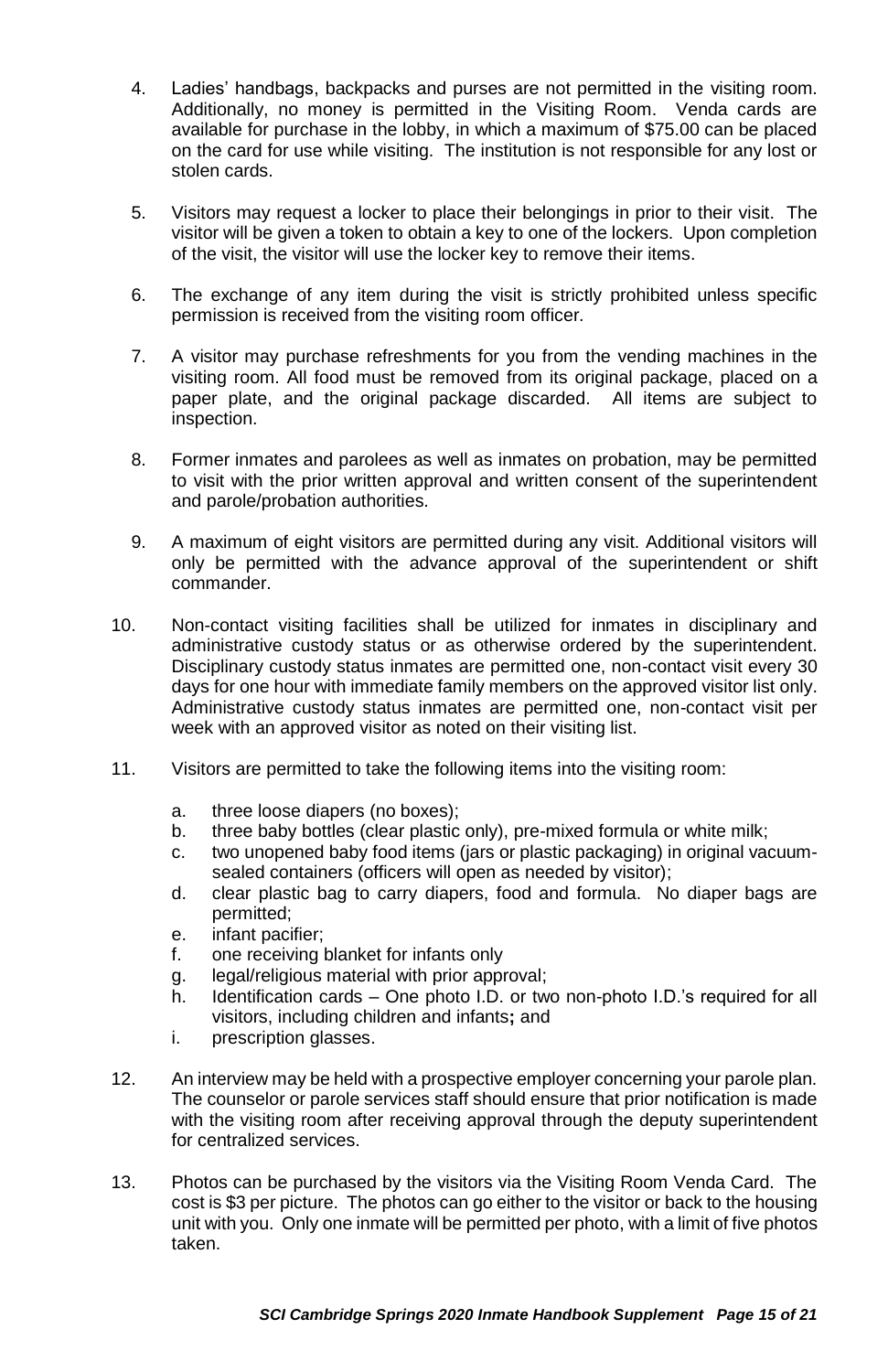- 4. Ladies' handbags, backpacks and purses are not permitted in the visiting room. Additionally, no money is permitted in the Visiting Room. Venda cards are available for purchase in the lobby, in which a maximum of \$75.00 can be placed on the card for use while visiting. The institution is not responsible for any lost or stolen cards.
- 5. Visitors may request a locker to place their belongings in prior to their visit. The visitor will be given a token to obtain a key to one of the lockers. Upon completion of the visit, the visitor will use the locker key to remove their items.
- 6. The exchange of any item during the visit is strictly prohibited unless specific permission is received from the visiting room officer.
- 7. A visitor may purchase refreshments for you from the vending machines in the visiting room. All food must be removed from its original package, placed on a paper plate, and the original package discarded. All items are subject to inspection.
- 8. Former inmates and parolees as well as inmates on probation, may be permitted to visit with the prior written approval and written consent of the superintendent and parole/probation authorities.
- 9. A maximum of eight visitors are permitted during any visit. Additional visitors will only be permitted with the advance approval of the superintendent or shift commander.
- 10. Non-contact visiting facilities shall be utilized for inmates in disciplinary and administrative custody status or as otherwise ordered by the superintendent. Disciplinary custody status inmates are permitted one, non-contact visit every 30 days for one hour with immediate family members on the approved visitor list only. Administrative custody status inmates are permitted one, non-contact visit per week with an approved visitor as noted on their visiting list.
- 11. Visitors are permitted to take the following items into the visiting room:
	- a. three loose diapers (no boxes);
	- b. three baby bottles (clear plastic only), pre-mixed formula or white milk;
	- c. two unopened baby food items (jars or plastic packaging) in original vacuumsealed containers (officers will open as needed by visitor);
	- d. clear plastic bag to carry diapers, food and formula. No diaper bags are permitted;
	- e. infant pacifier;
	- f. one receiving blanket for infants only
	- g. legal/religious material with prior approval;
	- h. Identification cards One photo I.D. or two non-photo I.D.'s required for all visitors, including children and infants**;** and
	- i. prescription glasses.
- 12. An interview may be held with a prospective employer concerning your parole plan. The counselor or parole services staff should ensure that prior notification is made with the visiting room after receiving approval through the deputy superintendent for centralized services.
- 13. Photos can be purchased by the visitors via the Visiting Room Venda Card. The cost is \$3 per picture. The photos can go either to the visitor or back to the housing unit with you. Only one inmate will be permitted per photo, with a limit of five photos taken.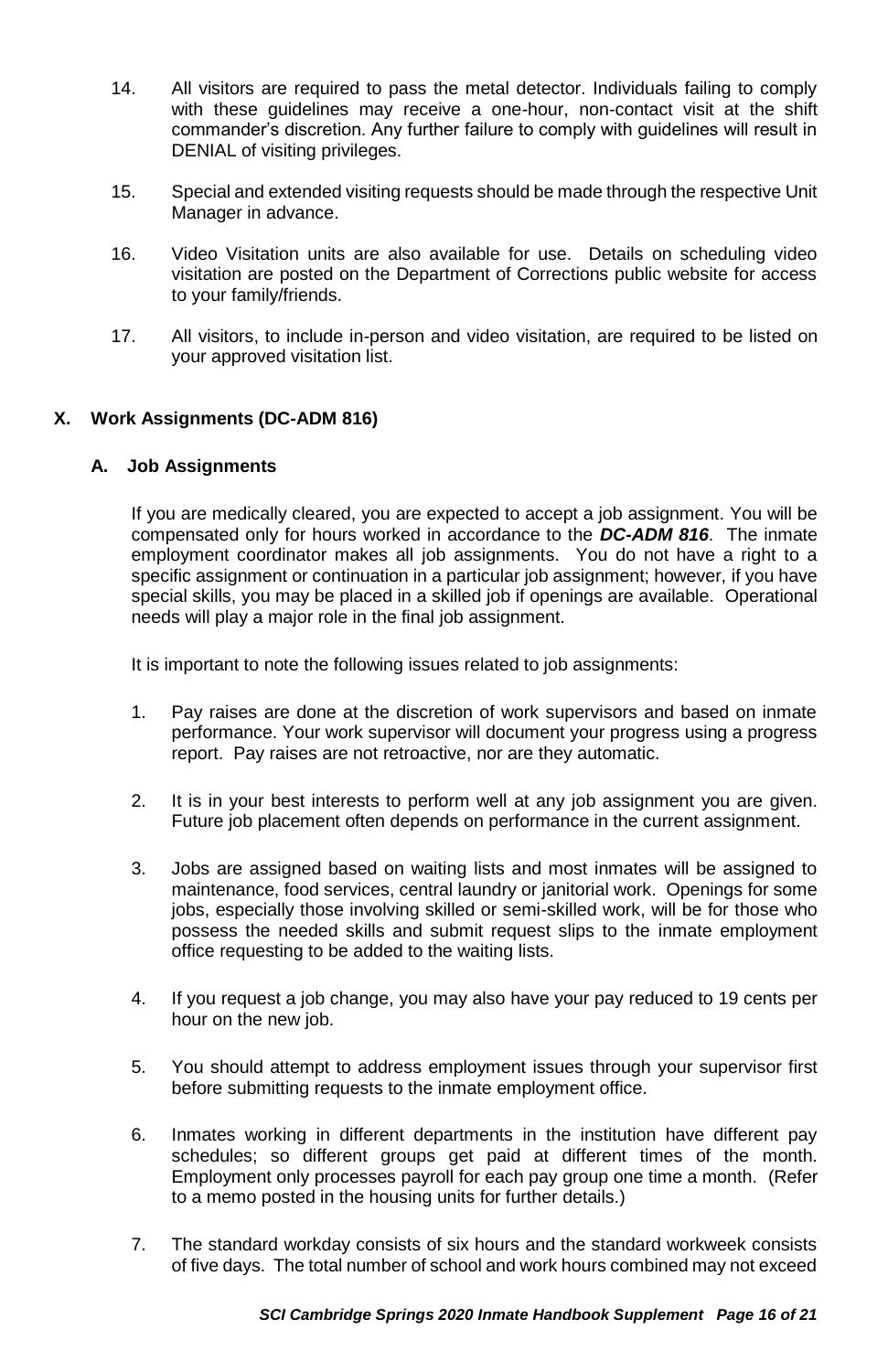- 14. All visitors are required to pass the metal detector. Individuals failing to comply with these guidelines may receive a one-hour, non-contact visit at the shift commander's discretion. Any further failure to comply with guidelines will result in DENIAL of visiting privileges.
- 15. Special and extended visiting requests should be made through the respective Unit Manager in advance.
- 16. Video Visitation units are also available for use. Details on scheduling video visitation are posted on the Department of Corrections public website for access to your family/friends.
- 17. All visitors, to include in-person and video visitation, are required to be listed on your approved visitation list.

## **X. Work Assignments (DC-ADM 816)**

## **A. Job Assignments**

If you are medically cleared, you are expected to accept a job assignment. You will be compensated only for hours worked in accordance to the *DC-ADM 816*. The inmate employment coordinator makes all job assignments. You do not have a right to a specific assignment or continuation in a particular job assignment; however, if you have special skills, you may be placed in a skilled job if openings are available. Operational needs will play a major role in the final job assignment.

It is important to note the following issues related to job assignments:

- 1. Pay raises are done at the discretion of work supervisors and based on inmate performance. Your work supervisor will document your progress using a progress report. Pay raises are not retroactive, nor are they automatic.
- 2. It is in your best interests to perform well at any job assignment you are given. Future job placement often depends on performance in the current assignment.
- 3. Jobs are assigned based on waiting lists and most inmates will be assigned to maintenance, food services, central laundry or janitorial work. Openings for some jobs, especially those involving skilled or semi-skilled work, will be for those who possess the needed skills and submit request slips to the inmate employment office requesting to be added to the waiting lists.
- 4. If you request a job change, you may also have your pay reduced to 19 cents per hour on the new job.
- 5. You should attempt to address employment issues through your supervisor first before submitting requests to the inmate employment office.
- 6. Inmates working in different departments in the institution have different pay schedules; so different groups get paid at different times of the month. Employment only processes payroll for each pay group one time a month. (Refer to a memo posted in the housing units for further details.)
- 7. The standard workday consists of six hours and the standard workweek consists of five days. The total number of school and work hours combined may not exceed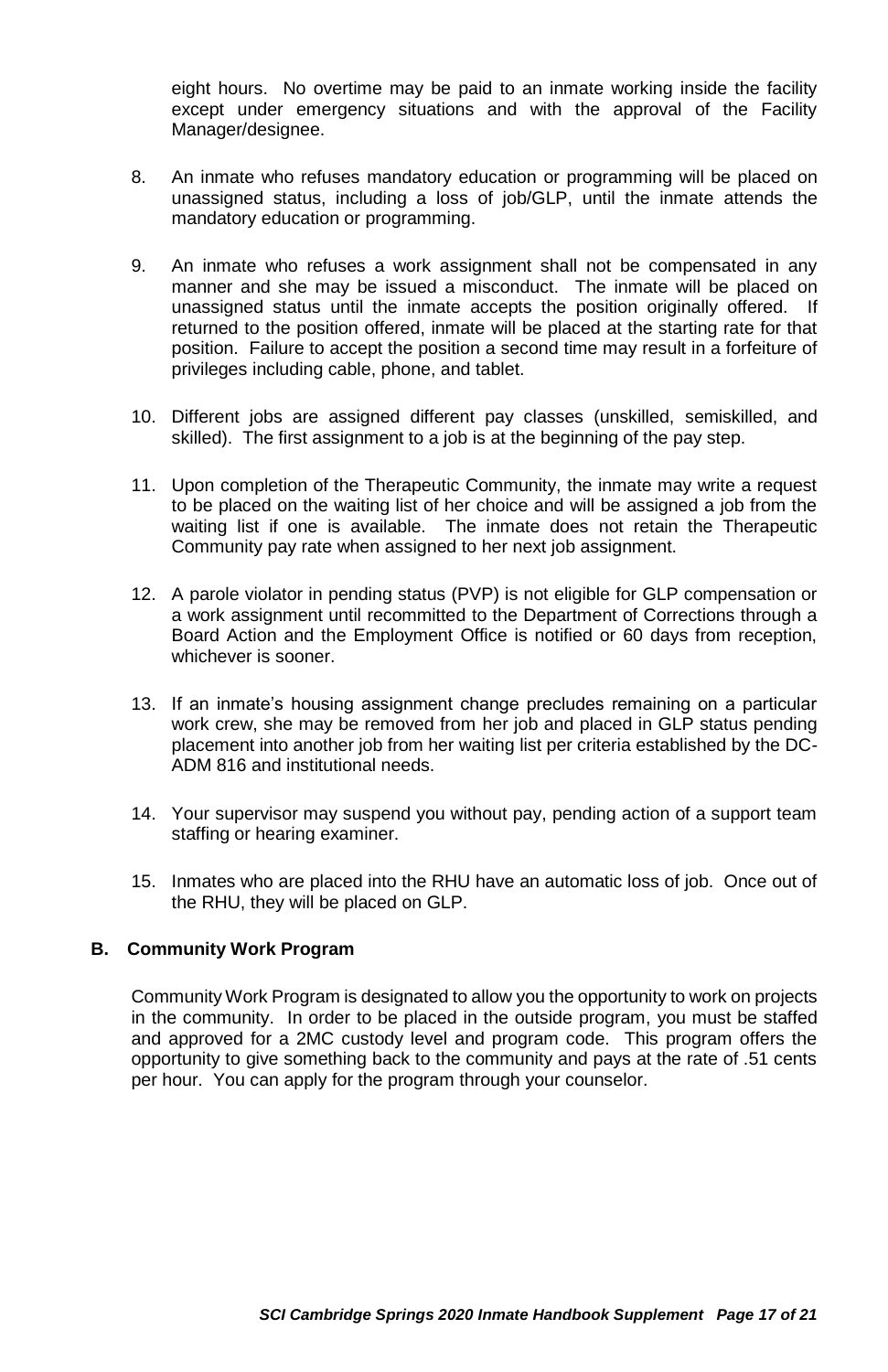eight hours. No overtime may be paid to an inmate working inside the facility except under emergency situations and with the approval of the Facility Manager/designee.

- 8. An inmate who refuses mandatory education or programming will be placed on unassigned status, including a loss of job/GLP, until the inmate attends the mandatory education or programming.
- 9. An inmate who refuses a work assignment shall not be compensated in any manner and she may be issued a misconduct. The inmate will be placed on unassigned status until the inmate accepts the position originally offered. If returned to the position offered, inmate will be placed at the starting rate for that position. Failure to accept the position a second time may result in a forfeiture of privileges including cable, phone, and tablet.
- 10. Different jobs are assigned different pay classes (unskilled, semiskilled, and skilled). The first assignment to a job is at the beginning of the pay step.
- 11. Upon completion of the Therapeutic Community, the inmate may write a request to be placed on the waiting list of her choice and will be assigned a job from the waiting list if one is available. The inmate does not retain the Therapeutic Community pay rate when assigned to her next job assignment.
- 12. A parole violator in pending status (PVP) is not eligible for GLP compensation or a work assignment until recommitted to the Department of Corrections through a Board Action and the Employment Office is notified or 60 days from reception, whichever is sooner.
- 13. If an inmate's housing assignment change precludes remaining on a particular work crew, she may be removed from her job and placed in GLP status pending placement into another job from her waiting list per criteria established by the DC-ADM 816 and institutional needs.
- 14. Your supervisor may suspend you without pay, pending action of a support team staffing or hearing examiner.
- 15. Inmates who are placed into the RHU have an automatic loss of job. Once out of the RHU, they will be placed on GLP.

## **B. Community Work Program**

Community Work Program is designated to allow you the opportunity to work on projects in the community. In order to be placed in the outside program, you must be staffed and approved for a 2MC custody level and program code. This program offers the opportunity to give something back to the community and pays at the rate of .51 cents per hour. You can apply for the program through your counselor.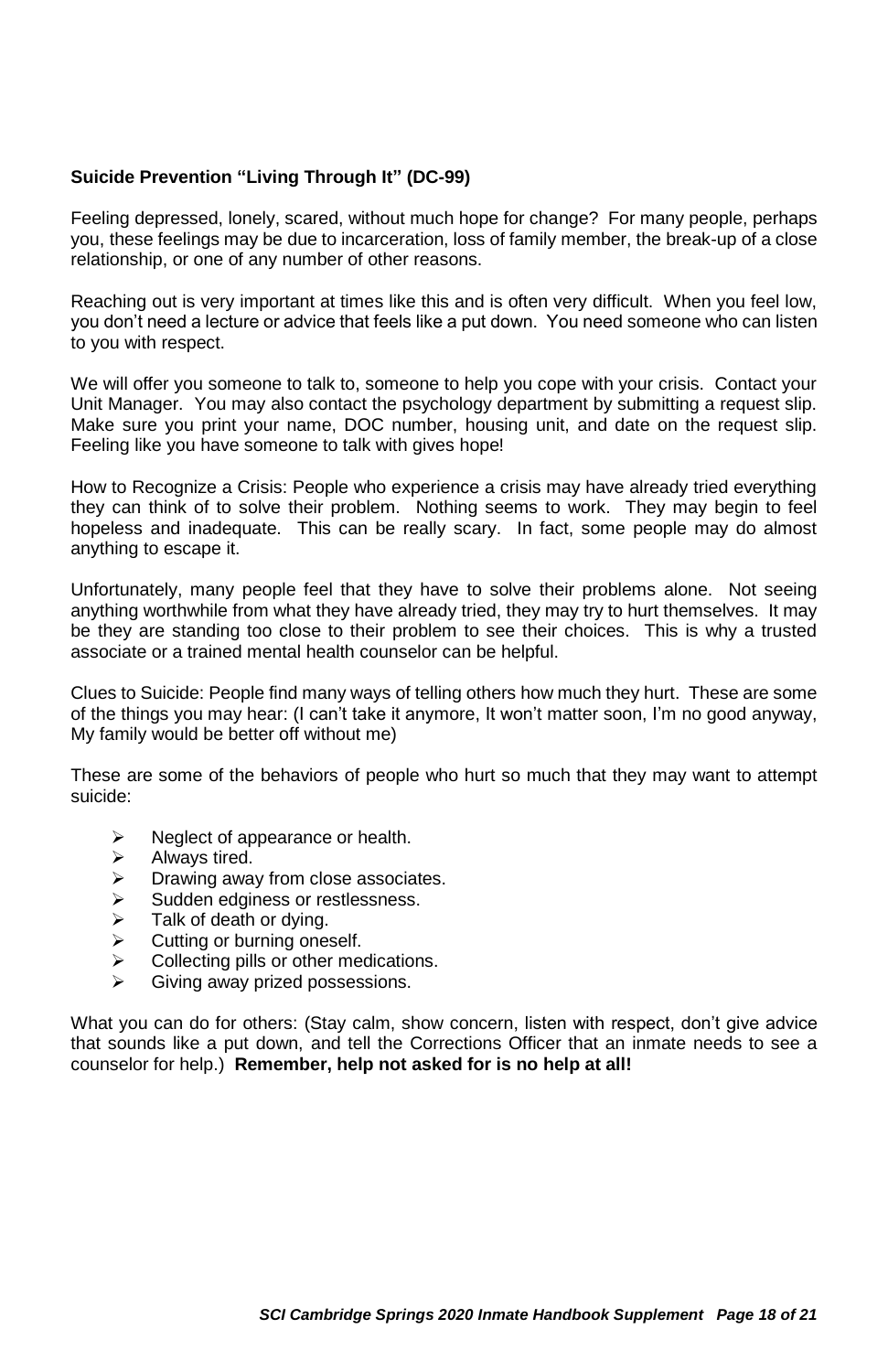## **Suicide Prevention "Living Through It" (DC-99)**

Feeling depressed, lonely, scared, without much hope for change? For many people, perhaps you, these feelings may be due to incarceration, loss of family member, the break-up of a close relationship, or one of any number of other reasons.

Reaching out is very important at times like this and is often very difficult. When you feel low, you don't need a lecture or advice that feels like a put down. You need someone who can listen to you with respect.

We will offer you someone to talk to, someone to help you cope with your crisis. Contact your Unit Manager. You may also contact the psychology department by submitting a request slip. Make sure you print your name, DOC number, housing unit, and date on the request slip. Feeling like you have someone to talk with gives hope!

How to Recognize a Crisis: People who experience a crisis may have already tried everything they can think of to solve their problem. Nothing seems to work. They may begin to feel hopeless and inadequate. This can be really scary. In fact, some people may do almost anything to escape it.

Unfortunately, many people feel that they have to solve their problems alone. Not seeing anything worthwhile from what they have already tried, they may try to hurt themselves. It may be they are standing too close to their problem to see their choices. This is why a trusted associate or a trained mental health counselor can be helpful.

Clues to Suicide: People find many ways of telling others how much they hurt. These are some of the things you may hear: (I can't take it anymore, It won't matter soon, I'm no good anyway, My family would be better off without me)

These are some of the behaviors of people who hurt so much that they may want to attempt suicide:

- ➢ Neglect of appearance or health.
- ➢ Always tired.
- ➢ Drawing away from close associates.
- ➢ Sudden edginess or restlessness.
- $\triangleright$  Talk of death or dving.
- $\triangleright$  Cutting or burning oneself.<br> $\triangleright$  Collecting pills or other means
- ➢ Collecting pills or other medications.
- ➢ Giving away prized possessions.

What you can do for others: (Stay calm, show concern, listen with respect, don't give advice that sounds like a put down, and tell the Corrections Officer that an inmate needs to see a counselor for help.) **Remember, help not asked for is no help at all!**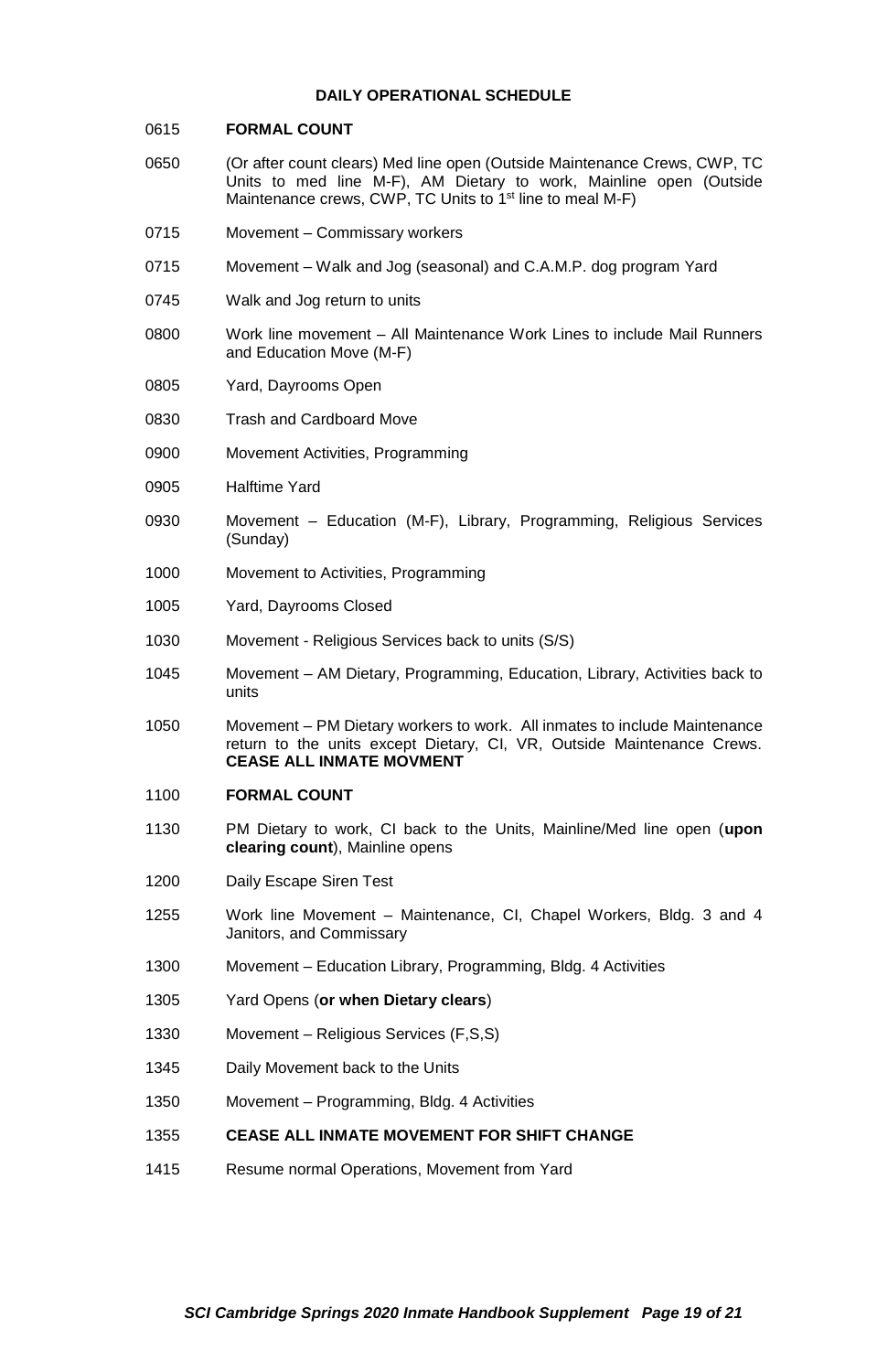#### **DAILY OPERATIONAL SCHEDULE**

#### **FORMAL COUNT**

- (Or after count clears) Med line open (Outside Maintenance Crews, CWP, TC Units to med line M-F), AM Dietary to work, Mainline open (Outside Maintenance crews, CWP, TC Units to 1<sup>st</sup> line to meal M-F)
- Movement Commissary workers
- Movement Walk and Jog (seasonal) and C.A.M.P. dog program Yard
- Walk and Jog return to units
- Work line movement All Maintenance Work Lines to include Mail Runners and Education Move (M-F)
- Yard, Dayrooms Open
- Trash and Cardboard Move
- Movement Activities, Programming
- Halftime Yard
- Movement Education (M-F), Library, Programming, Religious Services (Sunday)
- Movement to Activities, Programming
- Yard, Dayrooms Closed
- Movement Religious Services back to units (S/S)
- Movement AM Dietary, Programming, Education, Library, Activities back to units
- Movement PM Dietary workers to work. All inmates to include Maintenance return to the units except Dietary, CI, VR, Outside Maintenance Crews. **CEASE ALL INMATE MOVMENT**

#### **FORMAL COUNT**

- PM Dietary to work, CI back to the Units, Mainline/Med line open (**upon clearing count**), Mainline opens
- 1200 Daily Escape Siren Test
- Work line Movement Maintenance, CI, Chapel Workers, Bldg. 3 and 4 Janitors, and Commissary
- Movement Education Library, Programming, Bldg. 4 Activities
- Yard Opens (**or when Dietary clears**)
- Movement Religious Services (F,S,S)
- Daily Movement back to the Units
- Movement Programming, Bldg. 4 Activities

#### **CEASE ALL INMATE MOVEMENT FOR SHIFT CHANGE**

Resume normal Operations, Movement from Yard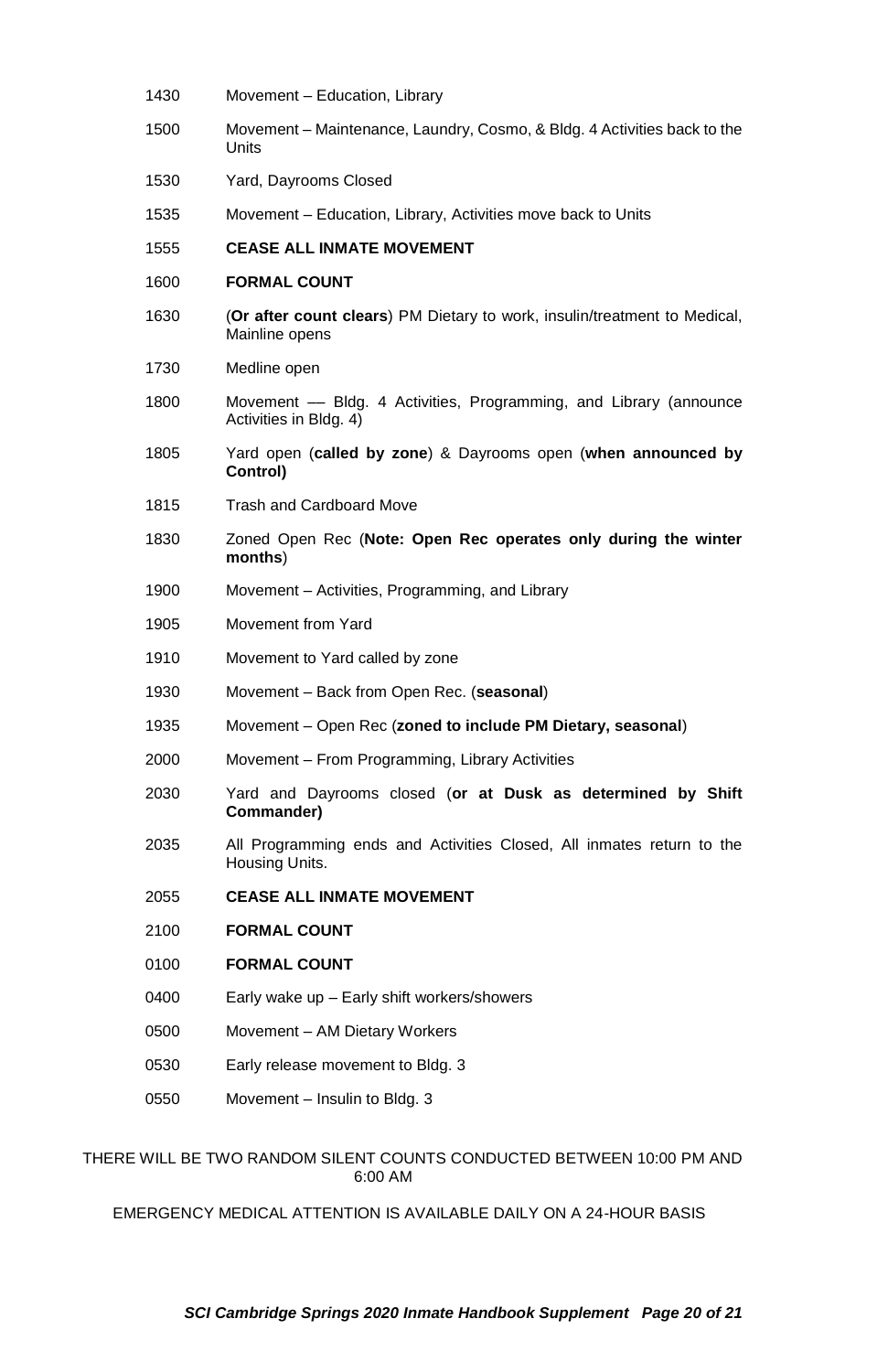| 1430 | Movement - Education, Library                                                               |
|------|---------------------------------------------------------------------------------------------|
| 1500 | Movement – Maintenance, Laundry, Cosmo, & Bldg. 4 Activities back to the<br>Units           |
| 1530 | Yard, Dayrooms Closed                                                                       |
| 1535 | Movement - Education, Library, Activities move back to Units                                |
| 1555 | <b>CEASE ALL INMATE MOVEMENT</b>                                                            |
| 1600 | <b>FORMAL COUNT</b>                                                                         |
| 1630 | (Or after count clears) PM Dietary to work, insulin/treatment to Medical,<br>Mainline opens |
| 1730 | Medline open                                                                                |
| 1800 | Movement - Bldg. 4 Activities, Programming, and Library (announce<br>Activities in Bldg. 4) |
| 1805 | Yard open (called by zone) & Dayrooms open (when announced by<br>Control)                   |
| 1815 | Trash and Cardboard Move                                                                    |
| 1830 | Zoned Open Rec (Note: Open Rec operates only during the winter<br>months)                   |
| 1900 | Movement – Activities, Programming, and Library                                             |
| 1905 | Movement from Yard                                                                          |
| 1910 | Movement to Yard called by zone                                                             |
| 1930 | Movement - Back from Open Rec. (seasonal)                                                   |
| 1935 | Movement – Open Rec (zoned to include PM Dietary, seasonal)                                 |
| 2000 | Movement – From Programming, Library Activities                                             |
| 2030 | Yard and Dayrooms closed (or at Dusk as determined by Shift<br>Commander)                   |
| 2035 | All Programming ends and Activities Closed, All inmates return to the<br>Housing Units.     |
| 2055 | <b>CEASE ALL INMATE MOVEMENT</b>                                                            |
| 2100 | <b>FORMAL COUNT</b>                                                                         |
| 0100 | <b>FORMAL COUNT</b>                                                                         |
| 0400 | Early wake up - Early shift workers/showers                                                 |
| 0500 | Movement - AM Dietary Workers                                                               |
| 0530 | Early release movement to Bldg. 3                                                           |
| 0550 | Movement - Insulin to Bldg. 3                                                               |

 THERE WILL BE TWO RANDOM SILENT COUNTS CONDUCTED BETWEEN 10:00 PM AND 6:00 AM

EMERGENCY MEDICAL ATTENTION IS AVAILABLE DAILY ON A 24-HOUR BASIS